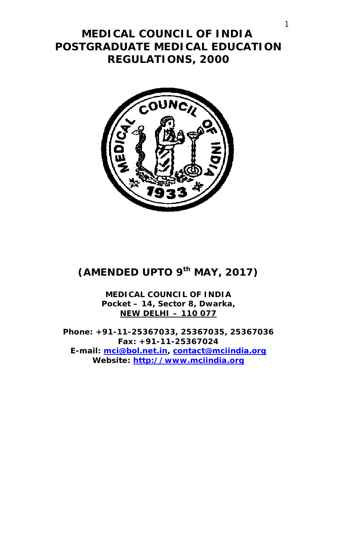# **MEDICAL COUNCIL OF INDIA POSTGRADUATE MEDICAL EDUCATION REGULATIONS, 2000**



# **(AMENDED UPTO 9 th MAY, 2017)**

**MEDICAL COUNCIL OF INDIA Pocket – 14, Sector 8, Dwarka, NEW DELHI – 110 077**

**Phone: +91-11-25367033, 25367035, 25367036 Fax: +91-11-25367024 E-mail: mci@bol.net.in, contact@mciindia.org Website: http://www.mciindia.org**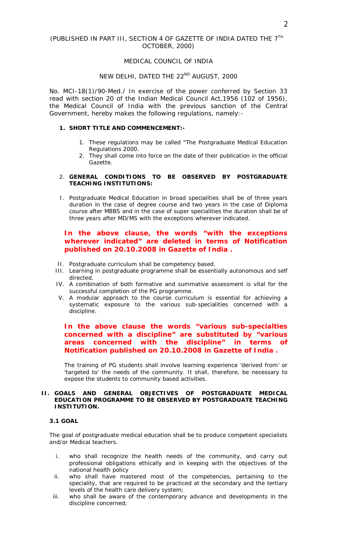### (PUBLISHED IN PART III, SECTION 4 OF GAZETTE OF INDIA DATED THE 7TH OCTOBER, 2000)

#### MEDICAL COUNCIL OF INDIA

## NEW DELHI, DATED THE 22<sup>ND</sup> AUGUST, 2000

No. MCI-18(1)/90-Med./ In exercise of the power conferred by Section 33 read with section 20 of the Indian Medical Council Act,1956 (102 of 1956), the Medical Council of India with the previous sanction of the Central Government, hereby makes the following regulations, namely:-

#### **1. SHORT TITLE AND COMMENCEMENT:-**

- 1. These regulations may be called "The Postgraduate Medical Education Regulations 2000.
- 2. They shall come into force on the date of their publication in the official Gazette.

## 2. **GENERAL CONDITIONS TO BE OBSERVED BY POSTGRADUATE TEACHING INSTITUTIONS:**

I. Postgraduate Medical Education in broad specialities shall be of three years duration in the case of degree course and two years in the case of Diploma course after MBBS and in the case of super specialities the duration shall be of three years after MD/MS with the exceptions wherever indicated.

# *In the above clause, the words "with the exceptions wherever indicated" are deleted in terms of Notification published on 20.10.2008 in Gazette of India .*

- II. Postgraduate curriculum shall be competency based.
- III. Learning in postgraduate programme shall be essentially autonomous and self directed.
- IV. A combination of both formative and summative assessment is vital for the successful completion of the PG programme.
- V. A modular approach to the course curriculum is essential for achieving a systematic exposure to the various sub-specialities concerned with a discipline.

## *In the above clause the words "various sub-specialties concerned with a discipline" are substituted by "various areas concerned with the discipline" in terms of Notification published on 20.10.2008 in Gazette of India .*

The training of PG students shall involve learning experience 'derived from' or 'targeted to' the needs of the community. It shall, therefore, be necessary to expose the students to community based activities.

#### **II. GOALS AND GENERAL OBJECTIVES OF POSTGRADUATE MEDICAL EDUCATION PROGRAMME TO BE OBSERVED BY POSTGRADUATE TEACHING INSTITUTION.**

#### **3.1 GOAL**

The goal of postgraduate medical education shall be to produce competent specialists and/or Medical teachers.

- i. who shall recognize the health needs of the community, and carry out professional obligations ethically and in keeping with the objectives of the national health policy
- ii. who shall have mastered most of the competencies, pertaining to the speciality, that are required to be practiced at the secondary and the tertiary levels of the health care delivery system;
- iii. who shall be aware of the contemporary advance and developments in the discipline concerned;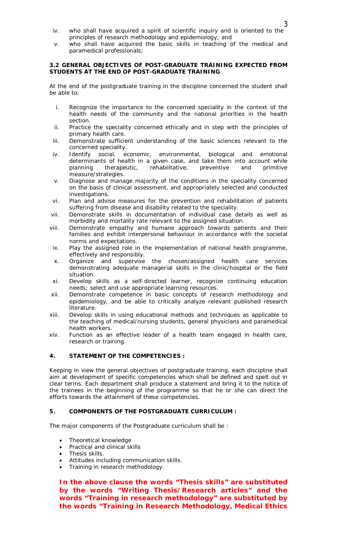- iv. who shall have acquired a spirit of scientific inquiry and is oriented to the principles of research methodology and epidemiology; and
- v. who shall have acquired the basic skills in teaching of the medical and paramedical professionals;

#### **3.2 GENERAL OBJECTIVES OF POST-GRADUATE TRAINING EXPECTED FROM STUDENTS AT THE END OF POST-GRADUATE TRAINING**

At the end of the postgraduate training in the discipline concerned the student shall be able to;

- i. Recognize the importance to the concerned speciality in the context of the health needs of the community and the national priorities in the health section.
- ii. Practice the speciality concerned ethically and in step with the principles of primary health care.
- iii. Demonstrate sufficient understanding of the basic sciences relevant to the concerned speciality.
- iv. Identify social, economic, environmental, biological and emotional determinants of health in a given case, and take them into account while planning therapeutic, rehabilitative, preventive and primitive measure/strategies.
- v. Diagnose and manage majority of the conditions in the speciality concerned on the basis of clinical assessment, and appropriately selected and conducted investigations.
- vi. Plan and advise measures for the prevention and rehabilitation of patients suffering from disease and disability related to the speciality.
- vii. Demonstrate skills in documentation of individual case details as well as morbidity and mortality rate relevant to the assigned situation.
- viii. Demonstrate empathy and humane approach towards patients and their families and exhibit interpersonal behaviour in accordance with the societal norms and expectations.
- ix. Play the assigned role in the implementation of national health programme, effectively and responsibly.
- x. Organize and supervise the chosen/assigned health care services demonstrating adequate managerial skills in the clinic/hospital or the field situation.
- xi. Develop skills as a self-directed learner, recognize continuing education needs; select and use appropriate learning resources.
- xii. Demonstrate competence in basic concepts of research methodology and epidemiology, and be able to critically analyze relevant published research literature.
- xiii. Develop skills in using educational methods and techniques as applicable to the teaching of medical/nursing students, general physicians and paramedical health workers.
- xiv. Function as an effective leader of a health team engaged in health care, research or training.

## **4. STATEMENT OF THE COMPETENCIES :**

Keeping in view the general objectives of postgraduate training, each discipline shall aim at development of specific competencies which shall be defined and spelt out in clear terms. Each department shall produce a statement and bring it to the notice of the trainees in the beginning of the programme so that he or she can direct the efforts towards the attainment of these competencies.

## **5. COMPONENTS OF THE POSTGRADUATE CURRICULUM :**

The major components of the Postgraduate curriculum shall be :

- Theoretical knowledge
- Practical and clinical skills
- Thesis skills.
- Attitudes including communication skills.
- Training in research methodology.

*In the above clause the words "Thesis skills" are substituted by the words "Writing Thesis/Research articles" and the words "Training in research methodology" are substituted by the words "Training in Research Methodology, Medical Ethics*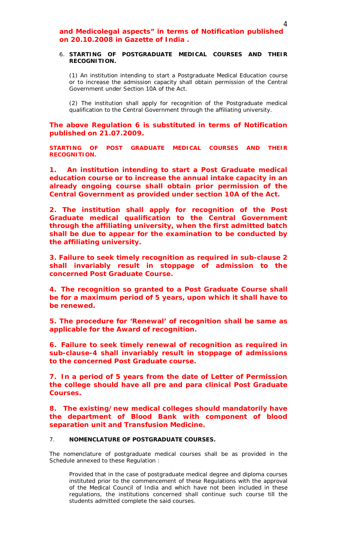# *and Medicolegal aspects" in terms of Notification published on 20.10.2008 in Gazette of India .*

#### 6. **STARTING OF POSTGRADUATE MEDICAL COURSES AND THEIR RECOGNITION.**

(1) An institution intending to start a Postgraduate Medical Education course or to increase the admission capacity shall obtain permission of the Central Government under Section 10A of the Act.

(2) The institution shall apply for recognition of the Postgraduate medical qualification to the Central Government through the affiliating university.

*The above Regulation 6 is substituted in terms of Notification published on 21.07.2009.*

*STARTING OF POST GRADUATE MEDICAL COURSES AND THEIR RECOGNITION.* 

*1. An institution intending to start a Post Graduate medical education course or to increase the annual intake capacity in an already ongoing course shall obtain prior permission of the Central Government as provided under section 10A of the Act.* 

*2. The institution shall apply for recognition of the Post Graduate medical qualification to the Central Government through the affiliating university, when the first admitted batch shall be due to appear for the examination to be conducted by the affiliating university.*

*3. Failure to seek timely recognition as required in sub-clause 2 shall invariably result in stoppage of admission to the concerned Post Graduate Course.*

*4. The recognition so granted to a Post Graduate Course shall be for a maximum period of 5 years, upon which it shall have to be renewed.*

*5. The procedure for 'Renewal' of recognition shall be same as applicable for the Award of recognition.*

*6. Failure to seek timely renewal of recognition as required in sub-clause-4 shall invariably result in stoppage of admissions to the concerned Post Graduate course.*

*7. In a period of 5 years from the date of Letter of Permission the college should have all pre and para clinical Post Graduate Courses.* 

*8. The existing/new medical colleges should mandatorily have the department of Blood Bank with component of blood separation unit and Transfusion Medicine.*

## 7. **NOMENCLATURE OF POSTGRADUATE COURSES.**

The nomenclature of postgraduate medical courses shall be as provided in the Schedule annexed to these Regulation :

Provided that in the case of postgraduate medical degree and diploma courses instituted prior to the commencement of these Regulations with the approval of the Medical Council of India and which have not been included in these regulations, the institutions concerned shall continue such course till the students admitted complete the said courses.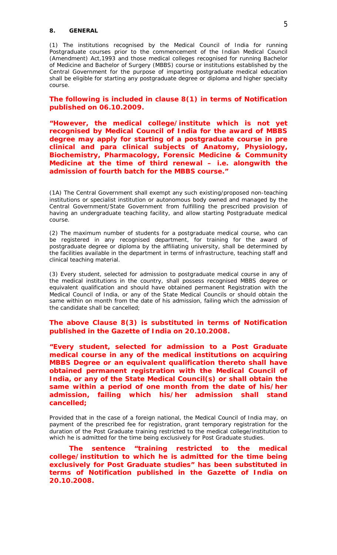#### **8. GENERAL**

(1) The institutions recognised by the Medical Council of India for running Postgraduate courses prior to the commencement of the Indian Medical Council (Amendment) Act,1993 and those medical colleges recognised for running Bachelor of Medicine and Bachelor of Surgery (MBBS) course or institutions established by the Central Government for the purpose of imparting postgraduate medical education shall be eligible for starting any postgraduate degree or diploma and higher specialty course.

*The following is included in clause 8(1) in terms of Notification published on 06.10.2009.*

*"However, the medical college/institute which is not yet recognised by Medical Council of India for the award of MBBS degree may apply for starting of a postgraduate course in pre clinical and para clinical subjects of Anatomy, Physiology, Biochemistry, Pharmacology, Forensic Medicine & Community Medicine at the time of third renewal – i.e. alongwith the admission of fourth batch for the MBBS course."*

(1A) The Central Government shall exempt any such existing/proposed non-teaching institutions or specialist institution or autonomous body owned and managed by the Central Government/State Government from fulfilling the prescribed provision of having an undergraduate teaching facility, and allow starting Postgraduate medical course.

(2) The maximum number of students for a postgraduate medical course, who can be registered in any recognised department, for training for the award of postgraduate degree or diploma by the affiliating university, shall be determined by the facilities available in the department in terms of infrastructure, teaching staff and clinical teaching material.

(3) Every student, selected for admission to postgraduate medical course in any of the medical institutions in the country, shall possess recognised MBBS degree or equivalent qualification and should have obtained permanent Registration with the Medical Council of India, or any of the State Medical Councils or should obtain the same within on month from the date of his admission, failing which the admission of the candidate shall be cancelled;

*The above Clause 8(3) is substituted in terms of Notification published in the Gazette of India on 20.10.2008.*

*"Every student, selected for admission to a Post Graduate medical course in any of the medical institutions on acquiring MBBS Degree or an equivalent qualification thereto shall have obtained permanent registration with the Medical Council of India, or any of the State Medical Council(s) or shall obtain the same within a period of one month from the date of his/her admission, failing which his/her admission shall stand cancelled;*

Provided that in the case of a foreign national, the Medical Council of India may, on payment of the prescribed fee for registration, grant temporary registration for the duration of the Post Graduate training restricted to the medical college/institution to which he is admitted for the time being exclusively for Post Graduate studies.

*The sentence "training restricted to the medical college/institution to which he is admitted for the time being exclusively for Post Graduate studies" has been substituted in terms of Notification published in the Gazette of India on 20.10.2008.*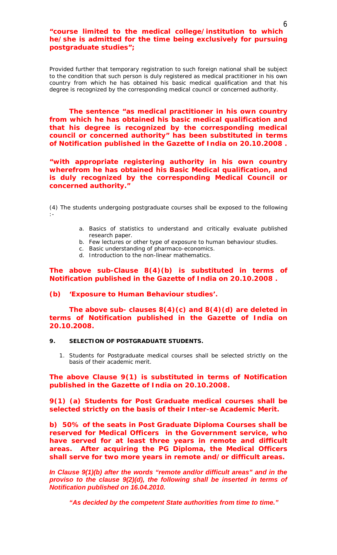*"course limited to the medical college/institution to which he/she is admitted for the time being exclusively for pursuing postgraduate studies";*

Provided further that temporary registration to such foreign national shall be subject to the condition that such person is duly registered as medical practitioner in his own country from which he has obtained his basic medical qualification and that his degree is recognized by the corresponding medical council or concerned authority.

*The sentence "as medical practitioner in his own country from which he has obtained his basic medical qualification and that his degree is recognized by the corresponding medical council or concerned authority" has been substituted in terms of Notification published in the Gazette of India on 20.10.2008 .*

*"with appropriate registering authority in his own country wherefrom he has obtained his Basic Medical qualification, and is duly recognized by the corresponding Medical Council or concerned authority."*

(4) The students undergoing postgraduate courses shall be exposed to the following :-

- a. Basics of statistics to understand and critically evaluate published research paper.
- b. Few lectures or other type of exposure to human behaviour studies.
- c. Basic understanding of pharmaco-economics.
- d. Introduction to the non-linear mathematics.

*The above sub-Clause 8(4)(b) is substituted in terms of Notification published in the Gazette of India on 20.10.2008 .*

#### *(b) 'Exposure to Human Behaviour studies'.*

*The above sub- clauses 8(4)(c) and 8(4)(d) are deleted in terms of Notification published in the Gazette of India on 20.10.2008.*

#### **9. SELECTION OF POSTGRADUATE STUDENTS.**

1. Students for Postgraduate medical courses shall be selected strictly on the basis of their academic merit.

*The above Clause 9(1) is substituted in terms of Notification published in the Gazette of India on 20.10.2008.*

*9(1) (a) Students for Post Graduate medical courses shall be selected strictly on the basis of their Inter-se Academic Merit.* 

*b) 50% of the seats in Post Graduate Diploma Courses shall be reserved for Medical Officers in the Government service, who have served for at least three years in remote and difficult areas. After acquiring the PG Diploma, the Medical Officers shall serve for two more years in remote and/or difficult areas.* 

*In Clause 9(1)(b) after the words "remote and/or difficult areas" and in the proviso to the clause 9(2)(d), the following shall be inserted in terms of Notification published on 16.04.2010.*

*"As decided by the competent State authorities from time to time."*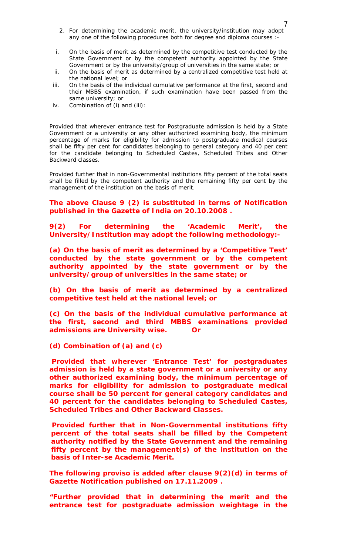- 2. For determining the academic merit, the university/institution may adopt any one of the following procedures both for degree and diploma courses :-
- i. On the basis of merit as determined by the competitive test conducted by the State Government or by the competent authority appointed by the State Government or by the university/group of universities in the same state; or
- ii. On the basis of merit as determined by a centralized competitive test held at the national level; or
- iii. On the basis of the individual cumulative performance at the first, second and their MBBS examination, if such examination have been passed from the same university; or
- iv. Combination of (i) and (iii):

Provided that wherever entrance test for Postgraduate admission is held by a State Government or a university or any other authorized examining body, the minimum percentage of marks for eligibility for admission to postgraduate medical courses shall be fifty per cent for candidates belonging to general category and 40 per cent for the candidate belonging to Scheduled Castes, Scheduled Tribes and Other Backward classes.

Provided further that in non-Governmental institutions fifty percent of the total seats shall be filled by the competent authority and the remaining fifty per cent by the management of the institution on the basis of merit.

## *The above Clause 9 (2) is substituted in terms of Notification published in the Gazette of India on 20.10.2008 .*

*9(2) For determining the 'Academic Merit', the University/Institution may adopt the following methodology:-*

*(a) On the basis of merit as determined by a 'Competitive Test' conducted by the state government or by the competent authority appointed by the state government or by the university/group of universities in the same state; or* 

*(b) On the basis of merit as determined by a centralized competitive test held at the national level; or* 

*(c) On the basis of the individual cumulative performance at the first, second and third MBBS examinations provided admissions are University wise. Or* 

*(d) Combination of (a) and (c)* 

*Provided that wherever 'Entrance Test' for postgraduates admission is held by a state government or a university or any other authorized examining body, the minimum percentage of marks for eligibility for admission to postgraduate medical course shall be 50 percent for general category candidates and 40 percent for the candidates belonging to Scheduled Castes, Scheduled Tribes and Other Backward Classes.* 

*Provided further that in Non-Governmental institutions fifty percent of the total seats shall be filled by the Competent authority notified by the State Government and the remaining fifty percent by the management(s) of the institution on the basis of Inter-se Academic Merit.*

*The following proviso is added after clause 9(2)(d) in terms of Gazette Notification published on 17.11.2009 .*

*"Further provided that in determining the merit and the entrance test for postgraduate admission weightage in the*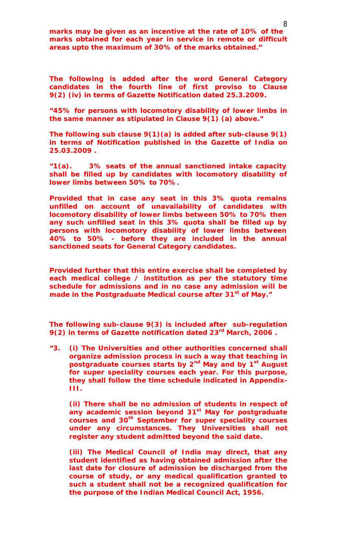*marks may be given as an incentive at the rate of 10% of the marks obtained for each year in service in remote or difficult areas upto the maximum of 30% of the marks obtained."*

*The following is added after the word General Category candidates in the fourth line of first proviso to Clause 9(2) (iv) in terms of Gazette Notification dated 25.3.2009.*

*"45% for persons with locomotory disability of lower limbs in the same manner as stipulated in Clause 9(1) (a) above."*

*The following sub clause 9(1)(a) is added after sub-clause 9(1) in terms of Notification published in the Gazette of India on 25.03.2009 .*

*"1(a). 3% seats of the annual sanctioned intake capacity shall be filled up by candidates with locomotory disability of lower limbs between 50% to 70%.*

*Provided that in case any seat in this 3% quota remains unfilled on account of unavailability of candidates with locomotory disability of lower limbs between 50% to 70% then any such unfilled seat in this 3% quota shall be filled up by persons with locomotory disability of lower limbs between 40% to 50% - before they are included in the annual sanctioned seats for General Category candidates.* 

*Provided further that this entire exercise shall be completed by each medical college / institution as per the statutory time schedule for admissions and in no case any admission will be made in the Postgraduate Medical course after 31st of May."*

*The following sub-clause 9(3) is included after sub-regulation 9(2) in terms of Gazette notification dated 23rd March, 2006 .*

*"3. (i) The Universities and other authorities concerned shall organize admission process in such a way that teaching in postgraduate courses starts by 2nd May and by 1st August for super speciality courses each year. For this purpose, they shall follow the time schedule indicated in Appendix-III.*

*(ii) There shall be no admission of students in respect of any academic session beyond 31st May for postgraduate courses and 30th September for super speciality courses under any circumstances. They Universities shall not register any student admitted beyond the said date.*

*(iii) The Medical Council of India may direct, that any student identified as having obtained admission after the last date for closure of admission be discharged from the course of study, or any medical qualification granted to such a student shall not be a recognized qualification for the purpose of the Indian Medical Council Act, 1956.*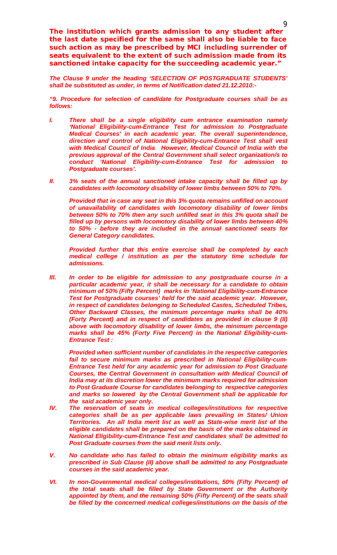*The institution which grants admission to any student after the last date specified for the same shall also be liable to face such action as may be prescribed by MCI including surrender of seats equivalent to the extent of such admission made from its sanctioned intake capacity for the succeeding academic year."* 

*The Clause 9 under the heading 'SELECTION OF POSTGRADUATE STUDENTS' shall be substituted as under, in terms of Notification dated 21.12.2010:-*

*"9. Procedure for selection of candidate for Postgraduate courses shall be as follows:*

- *I. There shall be a single eligibility cum entrance examination namely 'National Eligibility-cum-Entrance Test for admission to Postgraduate Medical Courses' in each academic year. The overall superintendence, direction and control of National Eligibility-cum-Entrance Test shall vest with Medical Council of India*. *However, Medical Council of India with the previous approval of the Central Government shall select organization/s to conduct 'National Eligibility-cum-Entrance Test for admission to Postgraduate courses'.*
- *II. 3% seats of the annual sanctioned intake capacity shall be filled up by candidates with locomotory disability of lower limbs between 50% to 70%.*

*Provided that in case any seat in this 3% quota remains unfilled on account of unavailability of candidates with locomotory disability of lower limbs between 50% to 70% then any such unfilled seat in this 3% quota shall be filled up by persons with locomotory disability of lower limbs between 40% to 50% - before they are included in the annual sanctioned seats for General Category candidates.* 

*Provided further that this entire exercise shall be completed by each medical college / institution as per the statutory time schedule for admissions.*

*III. In order to be eligible for admission to any postgraduate course in a particular academic year, it shall be necessary for a candidate to obtain minimum of 50% (Fifty Percent) marks in 'National Eligibility-cum-Entrance Test for Postgraduate courses' held for the said academic year. However, in respect of candidates belonging to Scheduled Castes, Scheduled Tribes, Other Backward Classes, the minimum percentage marks shall be 40% (Forty Percent) and in respect of candidates as provided in clause 9 (II) above with locomotory disability of lower limbs, the minimum percentage marks shall be 45% (Forty Five Percent) in the National Eligibility-cum-Entrance Test :* 

*Provided when sufficient number of candidates in the respective categories fail to secure minimum marks as prescribed in National Eligibility-cum-Entrance Test held for any academic year for admission to Post Graduate Courses, the Central Government in consultation with Medical Council of India may at its discretion lower the minimum marks required for admission to Post Graduate Course for candidates belonging to respective categories and marks so lowered by the Central Government shall be applicable for the said academic year only.* 

- *IV. The reservation of seats in medical colleges/institutions for respective categories shall be as per applicable laws prevailing in States/ Union Territories. An all India merit list as well as State-wise merit list of the eligible candidates shall be prepared on the basis of the marks obtained in National Eligibility-cum-Entrance Test and candidates shall be admitted to Post Graduate courses from the said merit lists only.*
- *V. No candidate who has failed to obtain the minimum eligibility marks as prescribed in Sub Clause (II) above shall be admitted to any Postgraduate courses in the said academic year.*
- *VI. In non-Governmental medical colleges/institutions, 50% (Fifty Percent) of the total seats shall be filled by State Government or the Authority appointed by them, and the remaining 50% (Fifty Percent) of the seats shall be filled by the concerned medical colleges/institutions on the basis of the*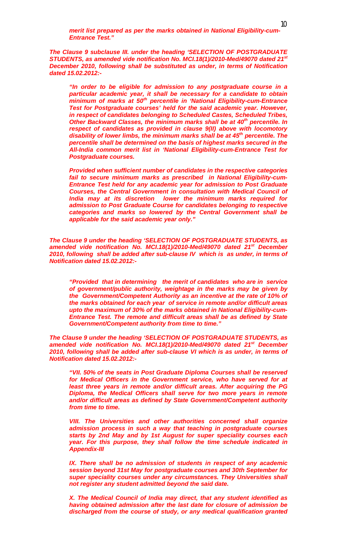*merit list prepared as per the marks obtained in National Eligibility-cum-Entrance Test."*

*The Clause 9 subclause III. under the heading 'SELECTION OF POSTGRADUATE STUDENTS, as amended vide notification No. MCI.18(1)/2010-Med/49070 dated 21st December 2010, following shall be substituted as under, in terms of Notification dated 15.02.2012:-*

*"In order to be eligible for admission to any postgraduate course in a particular academic year, it shall be necessary for a candidate to obtain minimum of marks at 50th percentile in 'National Eligibility-cum-Entrance Test for Postgraduate courses' held for the said academic year. However, in respect of candidates belonging to Scheduled Castes, Scheduled Tribes, Other Backward Classes, the minimum marks shall be at 40th percentile. In respect of candidates as provided in clause 9(II) above with locomotory disability of lower limbs, the minimum marks shall be at 45th percentile. The percentile shall be determined on the basis of highest marks secured in the All-India common merit list in 'National Eligibility-cum-Entrance Test for Postgraduate courses.*

*Provided when sufficient number of candidates in the respective categories fail to secure minimum marks as prescribed in National Eligibility-cum-Entrance Test held for any academic year for admission to Post Graduate Courses, the Central Government in consultation with Medical Council of India may at its discretion lower the minimum marks required for admission to Post Graduate Course for candidates belonging to respective categories and marks so lowered by the Central Government shall be applicable for the said academic year only."*

*The Clause 9 under the heading 'SELECTION OF POSTGRADUATE STUDENTS, as amended vide notification No. MCI.18(1)/2010-Med/49070 dated 21st December 2010, following shall be added after sub-clause IV which is as under, in terms of Notification dated 15.02.2012:-*

*"Provided that in determining the merit of candidates who are in service of government/public authority, weightage in the marks may be given by the Government/Competent Authority as an incentive at the rate of 10% of the marks obtained for each year of service in remote and/or difficult areas upto the maximum of 30% of the marks obtained in National Eligibility-cum-Entrance Test. The remote and difficult areas shall be as defined by State Government/Competent authority from time to time."*

*The Clause 9 under the heading 'SELECTION OF POSTGRADUATE STUDENTS, as amended vide notification No. MCI.18(1)/2010-Med/49070 dated 21st December 2010, following shall be added after sub-clause VI which is as under, in terms of Notification dated 15.02.2012:-*

*"VII. 50% of the seats in Post Graduate Diploma Courses shall be reserved for Medical Officers in the Government service, who have served for at least three years in remote and/or difficult areas. After acquiring the PG Diploma, the Medical Officers shall serve for two more years in remote and/or difficult areas as defined by State Government/Competent authority from time to time.*

*VIII. The Universities and other authorities concerned shall organize admission process in such a way that teaching in postgraduate courses starts by 2nd May and by 1st August for super speciality courses each year. For this purpose, they shall follow the time schedule indicated in Appendix-III*

*IX. There shall be no admission of students in respect of any academic session beyond 31st May for postgraduate courses and 30th September for super speciality courses under any circumstances. They Universities shall not register any student admitted beyond the said date.* 

*X. The Medical Council of India may direct, that any student identified as having obtained admission after the last date for closure of admission be discharged from the course of study, or any medical qualification granted*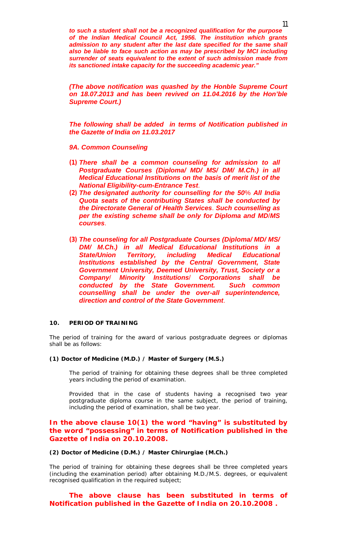*to such a student shall not be a recognized qualification for the purpose of the Indian Medical Council Act, 1956. The institution which grants*  admission to any student after the last date specified for the same shall *also be liable to face such action as may be prescribed by MCI including surrender of seats equivalent to the extent of such admission made from its sanctioned intake capacity for the succeeding academic year."*

*(The above notification was quashed by the Honble Supreme Court on 18.07.2013 and has been revived on 11.04.2016 by the Hon'ble Supreme Court.)*

*The following shall be added in terms of Notification published in the Gazette of India on 11.03.2017*

*9A. Common Counseling*

- *(1) There shall be a common counseling for admission to all Postgraduate Courses (Diploma/ MD/ MS/ DM/ M.Ch.) in all Medical Educational Institutions on the basis of merit list of the National Eligibility-cum-Entrance Test*.
- *(2) The designated authority for counselling for the 50*% *All India Quota seats of the contributing States shall be conducted by the Directorate General of Health Services*. *Such counselling as per the existing scheme shall be only for Diploma and MD*/*MS courses*.
- *(3) The counseling for all Postgraduate Courses (Diploma/ MD/ MS/ DM/ M.Ch.) in all Medical Educational Institutions in a State/Union Territory, including Medical Educational Institutions established by the Central Government, State Government University, Deemed University, Trust, Society or a Company*/ *Minority Institutions*/ *Corporations shall be conducted by the State Government. Such common counselling shall be under the over-all superintendence, direction and control of the State Government*.

#### **10. PERIOD OF TRAINING**

The period of training for the award of various postgraduate degrees or diplomas shall be as follows:

#### **(1) Doctor of Medicine (M.D.) / Master of Surgery (M.S.)**

The period of training for obtaining these degrees shall be three completed years including the period of examination.

Provided that in the case of students having a recognised two year postgraduate diploma course in the same subject, the period of training, including the period of examination, shall be two year.

## *In the above clause 10(1) the word "having" is substituted by the word "possessing" in terms of Notification published in the Gazette of India on 20.10.2008.*

#### **(2) Doctor of Medicine (D.M.) / Master Chirurgiae (M.Ch.)**

The period of training for obtaining these degrees shall be three completed years (including the examination period) after obtaining M.D./M.S. degrees, or equivalent recognised qualification in the required subject;

## *The above clause has been substituted in terms of Notification published in the Gazette of India on 20.10.2008 .*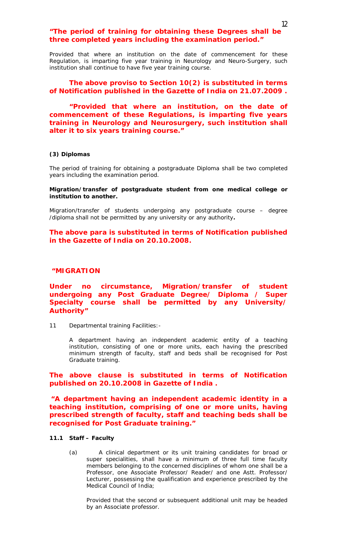## *"The period of training for obtaining these Degrees shall be three completed years including the examination period."*

Provided that where an institution on the date of commencement for these Regulation, is imparting five year training in Neurology and Neuro-Surgery, such institution shall continue to have five year training course.

# *The above proviso to Section 10(2) is substituted in terms of Notification published in the Gazette of India on 21.07.2009 .*

*"Provided that where an institution, on the date of commencement of these Regulations, is imparting five years training in Neurology and Neurosurgery, such institution shall alter it to six years training course."*

#### **(3) Diplomas**

The period of training for obtaining a postgraduate Diploma shall be two completed years including the examination period.

#### **Migration/transfer of postgraduate student from one medical college or institution to another.**

Migration/transfer of students undergoing any postgraduate course – degree /diploma shall not be permitted by any university or any authority**.** 

## *The above para is substituted in terms of Notification published in the Gazette of India on 20.10.2008.*

### *"MIGRATION*

## *Under no circumstance, Migration/transfer of student undergoing any Post Graduate Degree/ Diploma / Super Specialty course shall be permitted by any University/ Authority"*

11 Departmental training Facilities: -

A department having an independent academic entity of a teaching institution, consisting of one or more units, each having the prescribed minimum strength of faculty, staff and beds shall be recognised for Post Graduate training.

## *The above clause is substituted in terms of Notification published on 20.10.2008 in Gazette of India .*

*"A department having an independent academic identity in a teaching institution, comprising of one or more units, having prescribed strength of faculty, staff and teaching beds shall be recognised for Post Graduate training."*

#### **11.1 Staff – Faculty**

(a) A clinical department or its unit training candidates for broad or super specialities, shall have a minimum of three full time faculty members belonging to the concerned disciplines of whom one shall be a Professor, one Associate Professor/ Reader/ and one Astt. Professor/ Lecturer, possessing the qualification and experience prescribed by the Medical Council of India;

Provided that the second or subsequent additional unit may be headed by an Associate professor.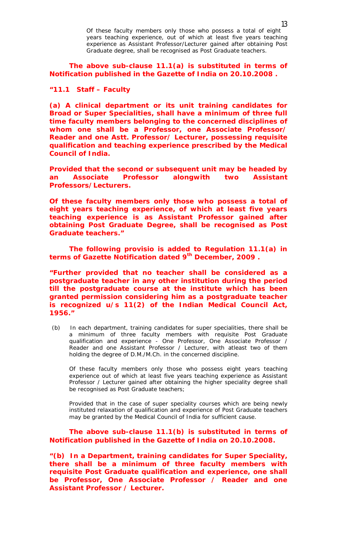Of these faculty members only those who possess a total of eight years teaching experience, out of which at least five years teaching experience as Assistant Professor/Lecturer gained after obtaining Post Graduate degree, shall be recognised as Post Graduate teachers.

*The above sub-clause 11.1(a) is substituted in terms of Notification published in the Gazette of India on 20.10.2008 .*

## *"11.1 Staff – Faculty*

*(a) A clinical department or its unit training candidates for Broad or Super Specialities, shall have a minimum of three full time faculty members belonging to the concerned disciplines of whom one shall be a Professor, one Associate Professor/ Reader and one Astt. Professor/ Lecturer, possessing requisite qualification and teaching experience prescribed by the Medical Council of India.*

*Provided that the second or subsequent unit may be headed by an Associate Professor alongwith two Assistant Professors/Lecturers.* 

*Of these faculty members only those who possess a total of eight years teaching experience, of which at least five years teaching experience is as Assistant Professor gained after obtaining Post Graduate Degree, shall be recognised as Post Graduate teachers."*

*The following provisio is added to Regulation 11.1(a) in terms of Gazette Notification dated 9th December, 2009 .*

*"Further provided that no teacher shall be considered as a postgraduate teacher in any other institution during the period till the postgraduate course at the institute which has been granted permission considering him as a postgraduate teacher is recognized u/s 11(2) of the Indian Medical Council Act, 1956."*

(b) In each department, training candidates for super specialities, there shall be a minimum of three faculty members with requisite Post Graduate qualification and experience - One Professor, One Associate Professor / Reader and one Assistant Professor / Lecturer, with atleast two of them holding the degree of D.M./M.Ch. in the concerned discipline.

Of these faculty members only those who possess eight years teaching experience out of which at least five years teaching experience as Assistant Professor / Lecturer gained after obtaining the higher speciality degree shall be recognised as Post Graduate teachers;

Provided that in the case of super speciality courses which are being newly instituted relaxation of qualification and experience of Post Graduate teachers may be granted by the Medical Council of India for sufficient cause.

*The above sub-clause 11.1(b) is substituted in terms of Notification published in the Gazette of India on 20.10.2008.*

*"(b) In a Department, training candidates for Super Speciality, there shall be a minimum of three faculty members with requisite Post Graduate qualification and experience, one shall be Professor, One Associate Professor / Reader and one Assistant Professor / Lecturer.*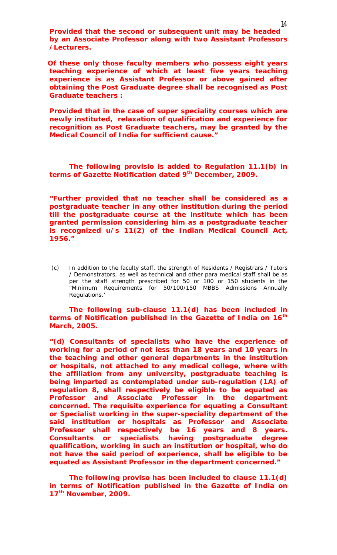*Provided that the second or subsequent unit may be headed by an Associate Professor along with two Assistant Professors /Lecturers.*

*Of these only those faculty members who possess eight years teaching experience of which at least five years teaching experience is as Assistant Professor or above gained after obtaining the Post Graduate degree shall be recognised as Post Graduate teachers :* 

*Provided that in the case of super speciality courses which are newly instituted, relaxation of qualification and experience for recognition as Post Graduate teachers, may be granted by the Medical Council of India for sufficient cause."*

*The following provisio is added to Regulation 11.1(b) in terms of Gazette Notification dated 9th December, 2009.*

*"Further provided that no teacher shall be considered as a postgraduate teacher in any other institution during the period till the postgraduate course at the institute which has been granted permission considering him as a postgraduate teacher is recognized u/s 11(2) of the Indian Medical Council Act, 1956."*

(c) In addition to the faculty staff, the strength of Residents / Registrars / Tutors / Demonstrators, as well as technical and other para medical staff shall be as per the staff strength prescribed for 50 or 100 or 150 students in the "Minimum Requirements for 50/100/150 MBBS Admissions Annually Regulations.'

## *The following sub-clause 11.1(d) has been included in terms of Notification published in the Gazette of India on 16th March, 2005.*

*"(d) Consultants of specialists who have the experience of working for a period of not less than 18 years and 10 years in the teaching and other general departments in the institution or hospitals, not attached to any medical college, where with the affiliation from any university, postgraduate teaching is being imparted as contemplated under sub-regulation (1A) of regulation 8, shall respectively be eligible to be equated as Professor and Associate Professor in the department concerned. The requisite experience for equating a Consultant or Specialist working in the super-speciality department of the said institution or hospitals as Professor and Associate Professor shall respectively be 16 years and 8 years. Consultants or specialists having postgraduate degree qualification, working in such an institution or hospital, who do not have the said period of experience, shall be eligible to be equated as Assistant Professor in the department concerned."*

*The following proviso has been included to clause 11.1(d) in terms of Notification published in the Gazette of India on 17th November, 2009.*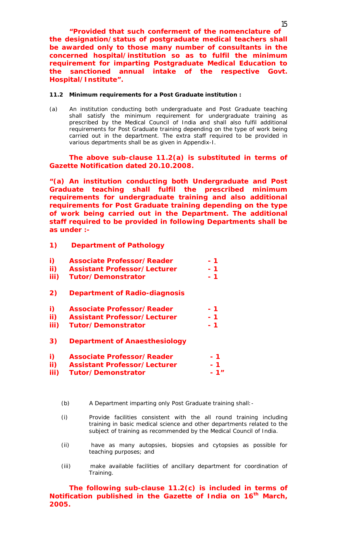*"Provided that such conferment of the nomenclature of the designation/status of postgraduate medical teachers shall be awarded only to those many number of consultants in the concerned hospital/institution so as to fulfil the minimum requirement for imparting Postgraduate Medical Education to the sanctioned annual intake of the respective Govt. Hospital/Institute".*

#### **11.2 Minimum requirements for a Post Graduate institution :**

(a) An institution conducting both undergraduate and Post Graduate teaching shall satisfy the minimum requirement for undergraduate training as prescribed by the Medical Council of India and shall also fulfil additional requirements for Post Graduate training depending on the type of work being carried out in the department. The extra staff required to be provided in various departments shall be as given in Appendix-I.

# *The above sub-clause 11.2(a) is substituted in terms of Gazette Notification dated 20.10.2008.*

*"(a) An institution conducting both Undergraduate and Post Graduate teaching shall fulfil the prescribed minimum requirements for undergraduate training and also additional requirements for Post Graduate training depending on the type of work being carried out in the Department. The additional staff required to be provided in following Departments shall be as under :-*

- *1) Department of Pathology*
- *i) Associate Professor/Reader - 1*
- *ii) Assistant Professor/Lecturer - 1 iii*) Tutor/Demonstrator
- *2) Department of Radio-diagnosis*
- *i) Associate Professor/Reader - 1*
- *ii) Assistant Professor/Lecturer - 1*
- *iii*) **Tutor/Demonstrator 1**
- *3) Department of Anaesthesiology*

| $\boldsymbol{i}$ | <b>Associate Professor/Reader</b> | $-7$  |
|------------------|-----------------------------------|-------|
|                  | ii) Assistant Professor/Lecturer  | - 7   |
|                  | iii) Tutor/Demonstrator           | $-1"$ |

- (b) A Department imparting only Post Graduate training shall:-
- (i) Provide facilities consistent with the all round training including training in basic medical science and other departments related to the subject of training as recommended by the Medical Council of India.
- (ii) have as many autopsies, biopsies and cytopsies as possible for teaching purposes; and
- (iii) make available facilities of ancillary department for coordination of Training.

*The following sub-clause 11.2(c) is included in terms of Notification published in the Gazette of India on 16th March, 2005.*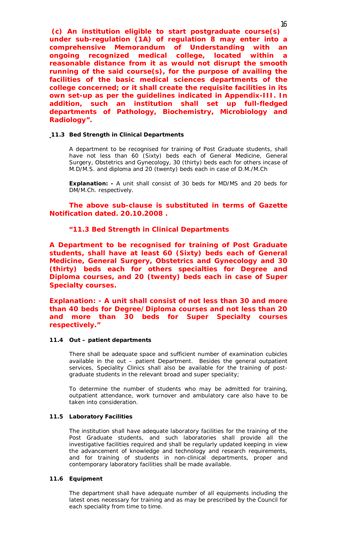*(c) An institution eligible to start postgraduate course(s) under sub-regulation (1A) of regulation 8 may enter into a comprehensive Memorandum of Understanding with an ongoing recognized medical college, located within a reasonable distance from it as would not disrupt the smooth running of the said course(s), for the purpose of availing the facilities of the basic medical sciences departments of the college concerned; or it shall create the requisite facilities in its own set-up as per the guidelines indicated in Appendix-III. In addition, such an institution shall set up full-fledged departments of Pathology, Biochemistry, Microbiology and Radiology".* 

#### **11.3 Bed Strength in Clinical Departments**

A department to be recognised for training of Post Graduate students, shall have not less than 60 (Sixty) beds each of General Medicine, General Surgery, Obstetrics and Gynecology, 30 (thirty) beds each for others incase of M.D/M.S. and diploma and 20 (twenty) beds each in case of D.M./M.Ch

**Explanation: -** A unit shall consist of 30 beds for MD/MS and 20 beds for DM/M.Ch. respectively.

*The above sub-clause is substituted in terms of Gazette Notification dated. 20.10.2008 .*

#### *"11.3 Bed Strength in Clinical Departments*

*A Department to be recognised for training of Post Graduate students, shall have at least 60 (Sixty) beds each of General Medicine, General Surgery, Obstetrics and Gynecology and 30 (thirty) beds each for others specialties for Degree and Diploma courses, and 20 (twenty) beds each in case of Super Specialty courses.* 

*Explanation: - A unit shall consist of not less than 30 and more than 40 beds for Degree/Diploma courses and not less than 20 and more than 30 beds for Super Specialty courses respectively."*

#### **11.4 Out – patient departments**

There shall be adequate space and sufficient number of examination cubicles available in the out – patient Department. Besides the general outpatient services, Speciality Clinics shall also be available for the training of postgraduate students in the relevant broad and super speciality;

To determine the number of students who may be admitted for training, outpatient attendance, work turnover and ambulatory care also have to be taken into consideration.

#### **11.5 Laboratory Facilities**

The institution shall have adequate laboratory facilities for the training of the Post Graduate students, and such laboratories shall provide all the investigative facilities required and shall be regularly updated keeping in view the advancement of knowledge and technology and research requirements, and for training of students in non-clinical departments, proper and contemporary laboratory facilities shall be made available.

#### **11.6 Equipment**

The department shall have adequate number of all equipments including the latest ones necessary for training and as may be prescribed by the Council for each speciality from time to time.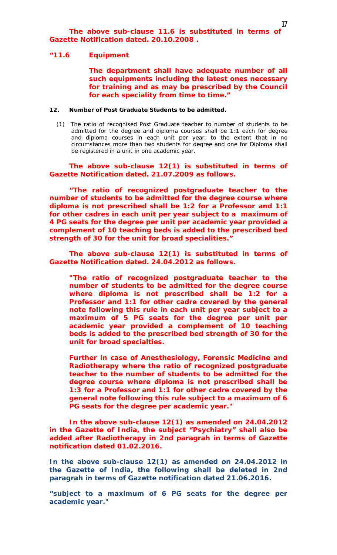#### *"11.6 Equipment*

*The department shall have adequate number of all such equipments including the latest ones necessary for training and as may be prescribed by the Council for each speciality from time to time."*

#### **12. Number of Post Graduate Students to be admitted.**

(1) The ratio of recognised Post Graduate teacher to number of students to be admitted for the degree and diploma courses shall be 1:1 each for degree and diploma courses in each unit per year, to the extent that in no circumstances more than two students for degree and one for Diploma shall be registered in a unit in one academic year.

## *The above sub-clause 12(1) is substituted in terms of Gazette Notification dated. 21.07.2009 as follows.*

*"The ratio of recognized postgraduate teacher to the number of students to be admitted for the degree course where diploma is not prescribed shall be 1:2 for a Professor and 1:1 for other cadres in each unit per year subject to a maximum of 4 PG seats for the degree per unit per academic year provided a complement of 10 teaching beds is added to the prescribed bed strength of 30 for the unit for broad specialities."* 

*The above sub-clause 12(1) is substituted in terms of Gazette Notification dated. 24.04.2012 as follows.*

*"The ratio of recognized postgraduate teacher to the number of students to be admitted for the degree course where diploma is not prescribed shall be 1:2 for a Professor and 1:1 for other cadre covered by the general note following this rule in each unit per year subject to a maximum of 5 PG seats for the degree per unit per academic year provided a complement of 10 teaching beds is added to the prescribed bed strength of 30 for the unit for broad specialties.*

*Further in case of Anesthesiology, Forensic Medicine and Radiotherapy where the ratio of recognized postgraduate teacher to the number of students to be admitted for the degree course where diploma is not prescribed shall be 1:3 for a Professor and 1:1 for other cadre covered by the general note following this rule subject to a maximum of 6 PG seats for the degree per academic year."*

*In the above sub-clause 12(1) as amended on 24.04.2012 in the Gazette of India, the subject "Psychiatry" shall also be added after Radiotherapy in 2nd paragrah in terms of Gazette notification dated 01.02.2016.*

*In the above sub-clause 12(1) as amended on 24.04.2012 in the Gazette of India, the following shall be deleted in 2nd paragrah in terms of Gazette notification dated 21.06.2016.*

**"***subject to a maximum of 6 PG seats for the degree per academic year."*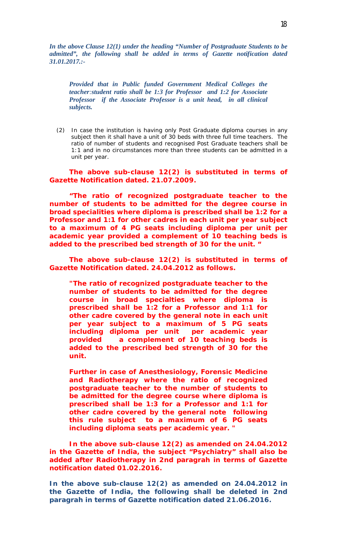*In the above Clause 12(1) under the heading "Number of Postgraduate Students to be admitted", the following shall be added in terms of Gazette notification dated 31.01.2017.:-*

*Provided that in Public funded Government Medical Colleges the teacher:student ratio shall be 1:3 for Professor and 1:2 for Associate Professor if the Associate Professor is a unit head, in all clinical subjects.* 

(2) In case the institution is having only Post Graduate diploma courses in any subject then it shall have a unit of 30 beds with three full time teachers. The ratio of number of students and recognised Post Graduate teachers shall be 1:1 and in no circumstances more than three students can be admitted in a unit per year.

*The above sub-clause 12(2) is substituted in terms of Gazette Notification dated. 21.07.2009.*

*"The ratio of recognized postgraduate teacher to the number of students to be admitted for the degree course in broad specialities where diploma is prescribed shall be 1:2 for a Professor and 1:1 for other cadres in each unit per year subject to a maximum of 4 PG seats including diploma per unit per academic year provided a complement of 10 teaching beds is added to the prescribed bed strength of 30 for the unit. "*

*The above sub-clause 12(2) is substituted in terms of Gazette Notification dated. 24.04.2012 as follows.*

*"The ratio of recognized postgraduate teacher to the number of students to be admitted for the degree course in broad specialties where diploma is prescribed shall be 1:2 for a Professor and 1:1 for other cadre covered by the general note in each unit per year subject to a maximum of 5 PG seats including diploma per unit per academic year provided a complement of 10 teaching beds is added to the prescribed bed strength of 30 for the unit.* 

*Further in case of Anesthesiology, Forensic Medicine and Radiotherapy where the ratio of recognized postgraduate teacher to the number of students to be admitted for the degree course where diploma is prescribed shall be 1:3 for a Professor and 1:1 for other cadre covered by the general note following this rule subject to a maximum of 6 PG seats including diploma seats per academic year. "*

*In the above sub-clause 12(2) as amended on 24.04.2012 in the Gazette of India, the subject "Psychiatry" shall also be added after Radiotherapy in 2nd paragrah in terms of Gazette notification dated 01.02.2016.*

*In the above sub-clause 12(2) as amended on 24.04.2012 in the Gazette of India, the following shall be deleted in 2nd paragrah in terms of Gazette notification dated 21.06.2016.*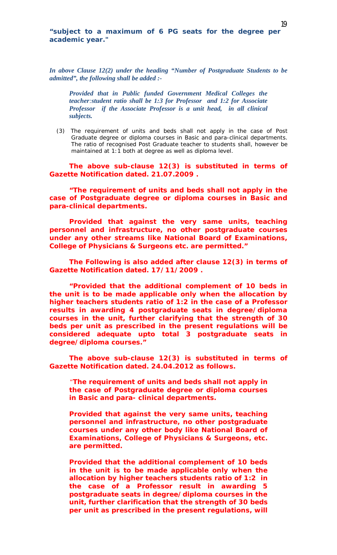*In above Clause 12(2) under the heading "Number of Postgraduate Students to be admitted", the following shall be added :-*

*Provided that in Public funded Government Medical Colleges the teacher:student ratio shall be 1:3 for Professor and 1:2 for Associate Professor if the Associate Professor is a unit head, in all clinical subjects.* 

(3) The requirement of units and beds shall not apply in the case of Post Graduate degree or diploma courses in Basic and para-clinical departments. The ratio of recognised Post Graduate teacher to students shall, however be maintained at 1:1 both at degree as well as diploma level.

*The above sub-clause 12(3) is substituted in terms of Gazette Notification dated. 21.07.2009 .*

*"The requirement of units and beds shall not apply in the case of Postgraduate degree or diploma courses in Basic and para-clinical departments.* 

*Provided that against the very same units, teaching personnel and infrastructure, no other postgraduate courses under any other streams like National Board of Examinations, College of Physicians & Surgeons etc. are permitted."*

*The Following is also added after clause 12(3) in terms of Gazette Notification dated. 17/11/2009 .*

*"Provided that the additional complement of 10 beds in the unit is to be made applicable only when the allocation by higher teachers students ratio of 1:2 in the case of a Professor results in awarding 4 postgraduate seats in degree/diploma courses in the unit, further clarifying that the strength of 30 beds per unit as prescribed in the present regulations will be considered adequate upto total 3 postgraduate seats in degree/diploma courses."*

*The above sub-clause 12(3) is substituted in terms of Gazette Notification dated. 24.04.2012 as follows.*

*"The requirement of units and beds shall not apply in the case of Postgraduate degree or diploma courses in Basic and para- clinical departments.* 

*Provided that against the very same units, teaching personnel and infrastructure, no other postgraduate courses under any other body like National Board of Examinations, College of Physicians & Surgeons, etc. are permitted.* 

*Provided that the additional complement of 10 beds in the unit is to be made applicable only when the allocation by higher teachers students ratio of 1:2 in the case of a Professor result in awarding 5 postgraduate seats in degree/diploma courses in the unit, further clarification that the strength of 30 beds per unit as prescribed in the present regulations, will*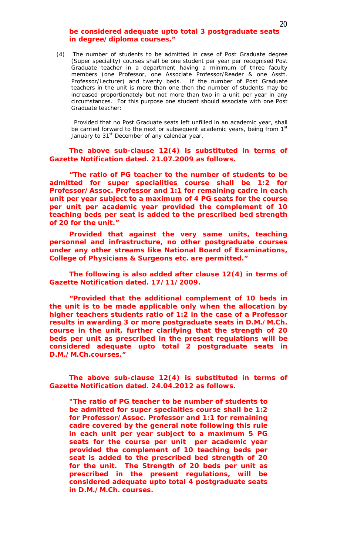## *be considered adequate upto total 3 postgraduate seats in degree/diploma courses."*

(4) The number of students to be admitted in case of Post Graduate degree (Super speciality) courses shall be one student per year per recognised Post Graduate teacher in a department having a minimum of three faculty members (one Professor, one Associate Professor/Reader & one Asstt. Professor/Lecturer) and twenty beds. If the number of Post Graduate teachers in the unit is more than one then the number of students may be increased proportionately but not more than two in a unit per year in any circumstances. For this purpose one student should associate with one Post Graduate teacher:

 Provided that no Post Graduate seats left unfilled in an academic year, shall be carried forward to the next or subsequent academic years, being from 1st January to 31<sup>st</sup> December of any calendar year.

*The above sub-clause 12(4) is substituted in terms of Gazette Notification dated. 21.07.2009 as follows.*

*"The ratio of PG teacher to the number of students to be admitted for super specialities course shall be 1:2 for Professor/Assoc. Professor and 1:1 for remaining cadre in each unit per year subject to a maximum of 4 PG seats for the course per unit per academic year provided the complement of 10 teaching beds per seat is added to the prescribed bed strength of 20 for the unit."* 

*Provided that against the very same units, teaching personnel and infrastructure, no other postgraduate courses under any other streams like National Board of Examinations, College of Physicians & Surgeons etc. are permitted."*

*The following is also added after clause 12(4) in terms of Gazette Notification dated. 17/11/2009.*

*"Provided that the additional complement of 10 beds in the unit is to be made applicable only when the allocation by higher teachers students ratio of 1:2 in the case of a Professor results in awarding 3 or more postgraduate seats in D.M./M.Ch. course in the unit, further clarifying that the strength of 20 beds per unit as prescribed in the present regulations will be considered adequate upto total 2 postgraduate seats in D.M./M.Ch.courses."*

*The above sub-clause 12(4) is substituted in terms of Gazette Notification dated. 24.04.2012 as follows.*

*"The ratio of PG teacher to be number of students to be admitted for super specialties course shall be 1:2 for Professor/Assoc. Professor and 1:1 for remaining cadre covered by the general note following this rule in each unit per year subject to a maximum 5 PG seats for the course per unit per academic year provided the complement of 10 teaching beds per seat is added to the prescribed bed strength of 20 for the unit. The Strength of 20 beds per unit as prescribed in the present regulations, will be considered adequate upto total 4 postgraduate seats in D.M./M.Ch. courses.*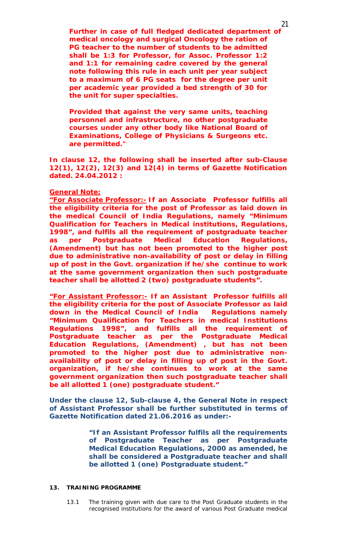*Further in case of full fledged dedicated department of medical oncology and surgical Oncology the ration of PG teacher to the number of students to be admitted shall be 1:3 for Professor, for Assoc. Professor 1:2 and 1:1 for remaining cadre covered by the general note following this rule in each unit per year subject to a maximum of 6 PG seats for the degree per unit per academic year provided a bed strength of 30 for the unit for super specialties.* 

*Provided that against the very same units, teaching personnel and infrastructure, no other postgraduate courses under any other body like National Board of Examinations, College of Physicians & Surgeons etc. are permitted."* 

*In clause 12, the following shall be inserted after sub-Clause 12(1), 12(2), 12(3) and 12(4) in terms of Gazette Notification dated. 24.04.2012 :*

#### *General Note:*

*"For Associate Professor:- If an Associate Professor fulfills all the eligibility criteria for the post of Professor as laid down in the medical Council of India Regulations, namely "Minimum Qualification for Teachers in Medical institutions, Regulations, 1998", and fulfils all the requirement of postgraduate teacher as per Postgraduate Medical Education Regulations, (Amendment) but has not been promoted to the higher post due to administrative non-availability of post or delay in filling up of post in the Govt. organization if he/she continue to work at the same government organization then such postgraduate teacher shall be allotted 2 (two) postgraduate students".* 

*"For Assistant Professor:- If an Assistant Professor fulfills all the eligibility criteria for the post of Associate Professor as laid down in the Medical Council of India Regulations namely "Minimum Qualification for Teachers in medical Institutions Regulations 1998", and fulfills all the requirement of Postgraduate teacher as per the Postgraduate Medical Education Regulations, (Amendment) , but has not been promoted to the higher post due to administrative nonavailability of post or delay in filling up of post in the Govt. organization, if he/she continues to work at the same government organization then such postgraduate teacher shall be all allotted 1 (one) postgraduate student."*

**Under the clause 12, Sub-clause 4, the General Note in respect of Assistant Professor shall be further substituted in terms of**  *Gazette Notification dated 21.06.2016* **as under:-**

> *"If an Assistant Professor fulfils all the requirements of Postgraduate Teacher as per Postgraduate Medical Education Regulations, 2000 as amended, he shall be considered a Postgraduate teacher and shall be allotted 1 (one) Postgraduate student."*

## **13. TRAINING PROGRAMME**

13.1 The training given with due care to the Post Graduate students in the recognised institutions for the award of various Post Graduate medical

21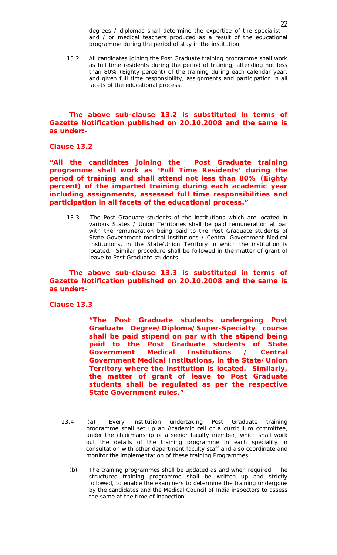degrees / diplomas shall determine the expertise of the specialist and / or medical teachers produced as a result of the educational programme during the period of stay in the institution.

13.2 All candidates joining the Post Graduate training programme shall work as full time residents during the period of training, attending not less than 80% (Eighty percent) of the training during each calendar year, and given full time responsibility, assignments and participation in all facets of the educational process.

*The above sub-clause 13.2 is substituted in terms of Gazette Notification published on 20.10.2008 and the same is as under:-*

*Clause 13.2* 

*"All the candidates joining the Post Graduate training programme shall work as 'Full Time Residents' during the period of training and shall attend not less than 80% (Eighty percent) of the imparted training during each academic year including assignments, assessed full time responsibilities and participation in all facets of the educational process."*

13.3 The Post Graduate students of the institutions which are located in various States / Union Territories shall be paid remuneration at par with the remuneration being paid to the Post Graduate students of State Government medical institutions / Central Government Medical Institutions, in the State/Union Territory in which the institution is located. Similar procedure shall be followed in the matter of grant of leave to Post Graduate students.

## *The above sub-clause 13.3 is substituted in terms of Gazette Notification published on 20.10.2008 and the same is as under:-*

*Clause 13.3* 

*"The Post Graduate students undergoing Post Graduate Degree/Diploma/Super-Specialty course shall be paid stipend on par with the stipend being paid to the Post Graduate students of State Government Medical Institutions / Central Government Medical Institutions, in the State/Union Territory where the institution is located. Similarly, the matter of grant of leave to Post Graduate students shall be regulated as per the respective State Government rules."* 

- 13.4 (a) Every institution undertaking Post Graduate training programme shall set up an Academic cell or a curriculum committee, under the chairmanship of a senior faculty member, which shall work out the details of the training programme in each speciality in consultation with other department faculty staff and also coordinate and monitor the implementation of these training Programmes.
	- (b) The training programmes shall be updated as and when required. The structured training programme shall be written up and strictly followed, to enable the examiners to determine the training undergone by the candidates and the Medical Council of India inspectors to assess the same at the time of inspection.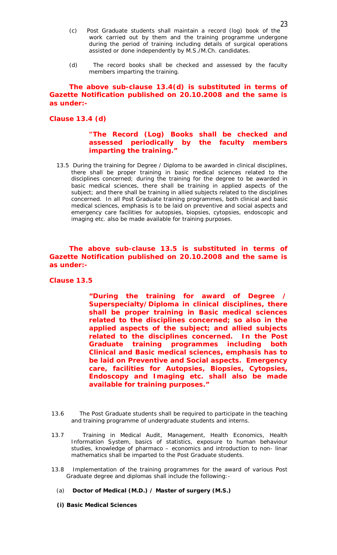- (c) Post Graduate students shall maintain a record (log) book of the work carried out by them and the training programme undergone during the period of training including details of surgical operations assisted or done independently by M.S./M.Ch. candidates.
- (d) The record books shall be checked and assessed by the faculty members imparting the training.

## *The above sub-clause 13.4(d) is substituted in terms of Gazette Notification published on 20.10.2008 and the same is as under:-*

## *Clause 13.4 (d)*

## *"The Record (Log) Books shall be checked and assessed periodically by the faculty members imparting the training."*

13.5 During the training for Degree / Diploma to be awarded in clinical disciplines, there shall be proper training in basic medical sciences related to the disciplines concerned; during the training for the degree to be awarded in basic medical sciences, there shall be training in applied aspects of the subject; and there shall be training in allied subjects related to the disciplines concerned. In all Post Graduate training programmes, both clinical and basic medical sciences, emphasis is to be laid on preventive and social aspects and emergency care facilities for autopsies, biopsies, cytopsies, endoscopic and imaging etc. also be made available for training purposes.

*The above sub-clause 13.5 is substituted in terms of Gazette Notification published on 20.10.2008 and the same is as under:-*

*Clause 13.5*

*"During the training for award of Degree / Superspecialty/Diploma in clinical disciplines, there shall be proper training in Basic medical sciences related to the disciplines concerned; so also in the applied aspects of the subject; and allied subjects related to the disciplines concerned. In the Post Graduate training programmes including both Clinical and Basic medical sciences, emphasis has to be laid on Preventive and Social aspects. Emergency care, facilities for Autopsies, Biopsies, Cytopsies, Endoscopy and Imaging etc. shall also be made available for training purposes."*

- 13.6 The Post Graduate students shall be required to participate in the teaching and training programme of undergraduate students and interns.
- 13.7 Training in Medical Audit, Management, Health Economics, Health Information System, basics of statistics, exposure to human behaviour studies, knowledge of pharmaco – economics and introduction to non- linar mathematics shall be imparted to the Post Graduate students.
- 13.8 Implementation of the training programmes for the award of various Post Graduate degree and diplomas shall include the following:-
	- (a) **Doctor of Medical (M.D.) / Master of surgery (M.S.)**
	- **(i) Basic Medical Sciences**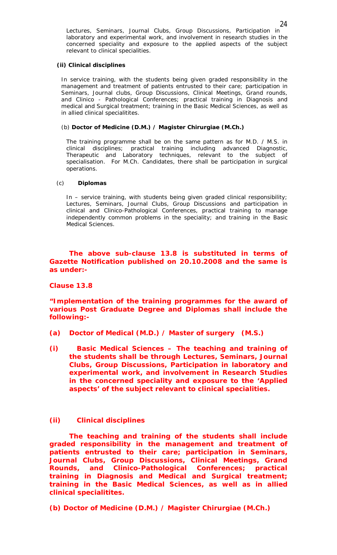## **(ii) Clinical disciplines**

In service training, with the students being given graded responsibility in the management and treatment of patients entrusted to their care; participation in Seminars, Journal clubs, Group Discussions, Clinical Meetings, Grand rounds, and Clinico - Pathological Conferences; practical training in Diagnosis and medical and Surgical treatment; training in the Basic Medical Sciences, as well as in allied clinical specialitites.

## (b) **Doctor of Medicine (D.M.) / Magister Chirurgiae (M.Ch.)**

The training programme shall be on the same pattern as for M.D. / M.S. in clinical disciplines; practical training including advanced Diagnostic, Therapeutic and Laboratory techniques, relevant to the subject of specialisation. For M.Ch. Candidates, there shall be participation in surgical operations.

#### (c) **Diplomas**

In – service training, with students being given graded clinical responsibility; Lectures, Seminars, Journal Clubs, Group Discussions and participation in clinical and Clinico-Pathological Conferences, practical training to manage independently common problems in the speciality; and training in the Basic Medical Sciences.

# *The above sub-clause 13.8 is substituted in terms of Gazette Notification published on 20.10.2008 and the same is as under:-*

## *Clause 13.8*

# *"Implementation of the training programmes for the award of various Post Graduate Degree and Diplomas shall include the following:-*

- *(a) Doctor of Medical (M.D.) / Master of surgery (M.S.)*
- *(i) Basic Medical Sciences – The teaching and training of the students shall be through Lectures, Seminars, Journal Clubs, Group Discussions, Participation in laboratory and experimental work, and involvement in Research Studies in the concerned speciality and exposure to the 'Applied aspects' of the subject relevant to clinical specialities.*

# *(ii) Clinical disciplines*

*The teaching and training of the students shall include graded responsibility in the management and treatment of patients entrusted to their care; participation in Seminars, Journal Clubs, Group Discussions, Clinical Meetings, Grand Rounds, and Clinico-Pathological Conferences; practical training in Diagnosis and Medical and Surgical treatment; training in the Basic Medical Sciences, as well as in allied clinical specialitites.*

*(b) Doctor of Medicine (D.M.) / Magister Chirurgiae (M.Ch.)*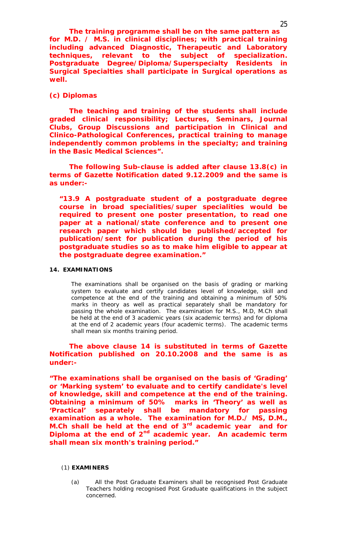*The training programme shall be on the same pattern as for M.D. / M.S. in clinical disciplines; with practical training including advanced Diagnostic, Therapeutic and Laboratory techniques, relevant to the subject of specialization. Postgraduate Degree/Diploma/Superspecialty Residents in Surgical Specialties shall participate in Surgical operations as well.* 

## *(c) Diplomas*

*The teaching and training of the students shall include graded clinical responsibility; Lectures, Seminars, Journal Clubs, Group Discussions and participation in Clinical and Clinico-Pathological Conferences, practical training to manage independently common problems in the specialty; and training in the Basic Medical Sciences".*

*The following Sub-clause is added after clause 13.8(c) in terms of Gazette Notification dated 9.12.2009 and the same is as under:-*

*"13.9 A postgraduate student of a postgraduate degree course in broad specialities/super specialities would be required to present one poster presentation, to read one paper at a national/state conference and to present one research paper which should be published/accepted for publication/sent for publication during the period of his postgraduate studies so as to make him eligible to appear at the postgraduate degree examination."*

#### **14. EXAMINATIONS**

The examinations shall be organised on the basis of grading or marking system to evaluate and certify candidates level of knowledge, skill and competence at the end of the training and obtaining a minimum of 50% marks in theory as well as practical separately shall be mandatory for passing the whole examination. The examination for M.S., M.D, M.Ch shall be held at the end of 3 academic years (six academic terms) and for diploma at the end of 2 academic years (four academic terms). The academic terms shall mean six months training period.

*The above clause 14 is substituted in terms of Gazette Notification published on 20.10.2008 and the same is as under:-*

*"The examinations shall be organised on the basis of 'Grading' or 'Marking system' to evaluate and to certify candidate's level of knowledge, skill and competence at the end of the training. Obtaining a minimum of 50% marks in 'Theory' as well as 'Practical' separately shall be mandatory for passing examination as a whole. The examination for M.D./ MS, D.M., M.Ch shall be held at the end of 3rd academic year and for Diploma at the end of 2nd academic year. An academic term shall mean six month's training period."*

#### (1) **EXAMINERS**

(a) All the Post Graduate Examiners shall be recognised Post Graduate Teachers holding recognised Post Graduate qualifications in the subject concerned.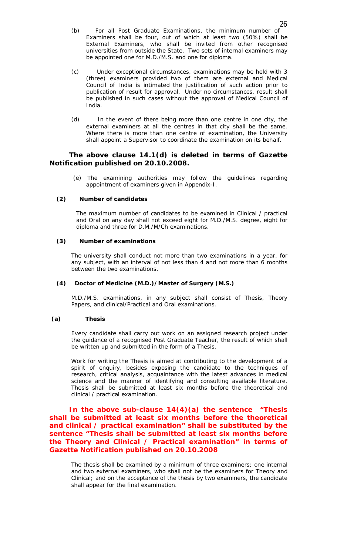- (b) For all Post Graduate Examinations, the minimum number of Examiners shall be four, out of which at least two (50%) shall be External Examiners, who shall be invited from other recognised universities from outside the State. Two sets of internal examiners may be appointed one for M.D./M.S. and one for diploma.
- (c) Under exceptional circumstances, examinations may be held with 3 (three) examiners provided two of them are external and Medical Council of India is intimated the justification of such action prior to publication of result for approval. Under no circumstances, result shall be published in such cases without the approval of Medical Council of India.
- (d) In the event of there being more than one centre in one city, the external examiners at all the centres in that city shall be the same. Where there is more than one centre of examination, the University shall appoint a Supervisor to coordinate the examination on its behalf.

## *The above clause 14.1(d) is deleted in terms of Gazette Notification published on 20.10.2008.*

(e) The examining authorities may follow the guidelines regarding appointment of examiners given in Appendix-I.

#### **(2) Number of candidates**

The maximum number of candidates to be examined in Clinical / practical and Oral on any day shall not exceed eight for M.D./M.S. degree, eight for diploma and three for D.M./M/Ch examinations.

## **(3) Number of examinations**

The university shall conduct not more than two examinations in a year, for any subject, with an interval of not less than 4 and not more than 6 months between the two examinations.

#### **(4) Doctor of Medicine (M.D.)/Master of Surgery (M.S.)**

M.D./M.S. examinations, in any subject shall consist of Thesis, Theory Papers, and clinical/Practical and Oral examinations.

#### **(a) Thesis**

Every candidate shall carry out work on an assigned research project under the guidance of a recognised Post Graduate Teacher, the result of which shall be written up and submitted in the form of a Thesis.

Work for writing the Thesis is aimed at contributing to the development of a spirit of enquiry, besides exposing the candidate to the techniques of research, critical analysis, acquaintance with the latest advances in medical science and the manner of identifying and consulting available literature. Thesis shall be submitted at least six months before the theoretical and clinical / practical examination.

## *In the above sub-clause 14(4)(a) the sentence "Thesis shall be submitted at least six months before the theoretical and clinical / practical examination" shall be substituted by the sentence "Thesis shall be submitted at least six months before the Theory and Clinical / Practical examination" in terms of Gazette Notification published on 20.10.2008*

The thesis shall be examined by a minimum of three examiners; one internal and two external examiners, who shall not be the examiners for Theory and Clinical; and on the acceptance of the thesis by two examiners, the candidate shall appear for the final examination.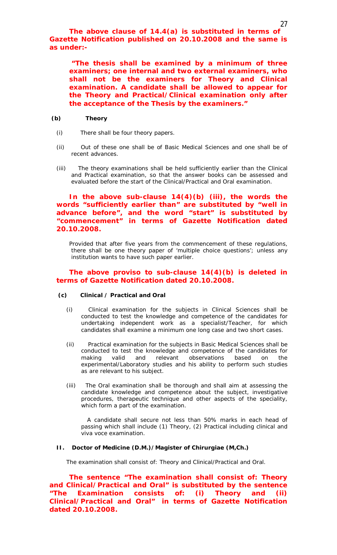*The above clause of 14.4(a) is substituted in terms of Gazette Notification published on 20.10.2008 and the same is as under:-*

*"The thesis shall be examined by a minimum of three examiners; one internal and two external examiners, who shall not be the examiners for Theory and Clinical examination. A candidate shall be allowed to appear for the Theory and Practical/Clinical examination only after the acceptance of the Thesis by the examiners."*

#### **(b) Theory**

- (i) There shall be four theory papers.
- (ii) Out of these one shall be of Basic Medical Sciences and one shall be of recent advances.
- (iii) The theory examinations shall be held sufficiently earlier than the Clinical and Practical examination, so that the answer books can be assessed and evaluated before the start of the Clinical/Practical and Oral examination.

## *In the above sub-clause 14(4)(b) (iii), the words the words "sufficiently earlier than" are substituted by "well in advance before", and the word "start" is substituted by "commencement" in terms of Gazette Notification dated 20.10.2008.*

Provided that after five years from the commencement of these regulations, there shall be one theory paper of 'multiple choice questions'; unless any institution wants to have such paper earlier.

## *The above proviso to sub-clause 14(4)(b) is deleted in terms of Gazette Notification dated 20.10.2008.*

#### **(c) Clinical / Practical and Oral**

- (i) Clinical examination for the subjects in Clinical Sciences shall be conducted to test the knowledge and competence of the candidates for undertaking independent work as a specialist/Teacher, for which candidates shall examine a minimum one long case and two short cases.
- (ii) Practical examination for the subjects in Basic Medical Sciences shall be conducted to test the knowledge and competence of the candidates for making valid and relevant observations based on the experimental/Laboratory studies and his ability to perform such studies as are relevant to his subject.
- (iii) The Oral examination shall be thorough and shall aim at assessing the candidate knowledge and competence about the subject, investigative procedures, therapeutic technique and other aspects of the speciality, which form a part of the examination.

 A candidate shall secure not less than 50% marks in each head of passing which shall include (1) Theory, (2) Practical including clinical and viva voce examination.

#### **II. Doctor of Medicine (D.M.)/Magister of Chirurgiae (M,Ch.)**

The examination shall consist of: Theory and Clinical/Practical and Oral.

*The sentence "The examination shall consist of: Theory and Clinical/Practical and Oral" is substituted by the sentence "The Examination consists of: (i) Theory and (ii) Clinical/Practical and Oral" in terms of Gazette Notification dated 20.10.2008.*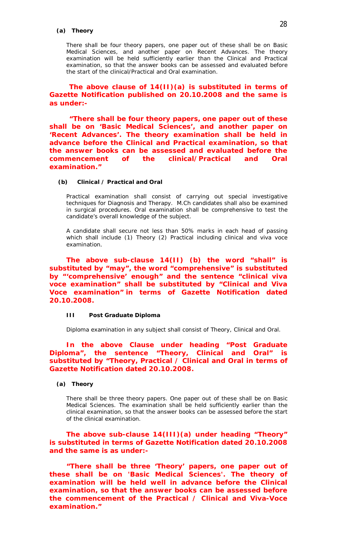#### **(a) Theory**

There shall be four theory papers, one paper out of these shall be on Basic Medical Sciences, and another paper on Recent Advances. The theory examination will be held sufficiently earlier than the Clinical and Practical examination, so that the answer books can be assessed and evaluated before the start of the clinical/Practical and Oral examination.

# *The above clause of 14(II)(a) is substituted in terms of Gazette Notification published on 20.10.2008 and the same is as under:-*

*"There shall be four theory papers, one paper out of these shall be on 'Basic Medical Sciences', and another paper on 'Recent Advances'. The theory examination shall be held in advance before the Clinical and Practical examination, so that the answer books can be assessed and evaluated before the commencement of the clinical/Practical and Oral examination."*

#### **(b) Clinical / Practical and Oral**

Practical examination shall consist of carrying out special investigative techniques for Diagnosis and Therapy. M.Ch candidates shall also be examined in surgical procedures. Oral examination shall be comprehensive to test the candidate's overall knowledge of the subject.

A candidate shall secure not less than 50% marks in each head of passing which shall include (1) Theory (2) Practical including clinical and viva voce examination.

*The above sub-clause 14(II) (b) the word "shall" is substituted by "may", the word "comprehensive" is substituted by "'comprehensive' enough" and the sentence "clinical viva voce examination" shall be substituted by "Clinical and Viva Voce examination" in terms of Gazette Notification dated 20.10.2008.*

#### **III Post Graduate Diploma**

Diploma examination in any subject shall consist of Theory, Clinical and Oral.

## *In the above Clause under heading "Post Graduate Diploma", the sentence "Theory, Clinical and Oral" is substituted by "Theory, Practical / Clinical and Oral in terms of Gazette Notification dated 20.10.2008.*

## **(a) Theory**

There shall be three theory papers. One paper out of these shall be on Basic Medical Sciences. The examination shall be held sufficiently earlier than the clinical examination, so that the answer books can be assessed before the start of the clinical examination.

## *The above sub-clause 14(III)(a) under heading "Theory" is substituted in terms of Gazette Notification dated 20.10.2008 and the same is as under:-*

*"There shall be three 'Theory' papers, one paper out of these shall be on 'Basic Medical Sciences'. The theory of examination will be held well in advance before the Clinical examination, so that the answer books can be assessed before the commencement of the Practical / Clinical and Viva-Voce examination."*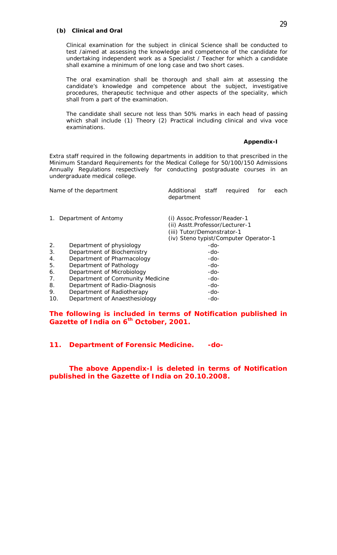#### **(b) Clinical and Oral**

Clinical examination for the subject in clinical Science shall be conducted to test /aimed at assessing the knowledge and competence of the candidate for undertaking independent work as a Specialist / Teacher for which a candidate shall examine a minimum of one long case and two short cases.

The oral examination shall be thorough and shall aim at assessing the candidate's knowledge and competence about the subject, investigative procedures, therapeutic technique and other aspects of the speciality, which shall from a part of the examination.

The candidate shall secure not less than 50% marks in each head of passing which shall include (1) Theory (2) Practical including clinical and viva voce examinations.

#### **Appendix-I**

Extra staff required in the following departments in addition to that prescribed in the Minimum Standard Requirements for the Medical College for 50/100/150 Admissions Annually Regulations respectively for conducting postgraduate courses in an undergraduate medical college.

|     | Name of the department           | Additional<br>department                                                                                                               | staff | required | for | each |
|-----|----------------------------------|----------------------------------------------------------------------------------------------------------------------------------------|-------|----------|-----|------|
| 1.  | Department of Antomy             | (i) Assoc.Professor/Reader-1<br>(ii) Asstt.Professor/Lecturer-1<br>(iii) Tutor/Demonstrator-1<br>(iv) Steno typist/Computer Operator-1 |       |          |     |      |
| 2.  | Department of physiology         |                                                                                                                                        | -do-  |          |     |      |
| 3.  | Department of Biochemistry       |                                                                                                                                        | -do-  |          |     |      |
| 4.  | Department of Pharmacology       |                                                                                                                                        | -do-  |          |     |      |
| 5.  | Department of Pathology          |                                                                                                                                        | -do-  |          |     |      |
| 6.  | Department of Microbiology       |                                                                                                                                        | -do-  |          |     |      |
| 7.  | Department of Community Medicine |                                                                                                                                        | -do-  |          |     |      |
| 8.  | Department of Radio-Diagnosis    |                                                                                                                                        | -do-  |          |     |      |
| 9.  | Department of Radiotherapy       |                                                                                                                                        | -do-  |          |     |      |
| 10. | Department of Anaesthesiology    |                                                                                                                                        | -do-  |          |     |      |

*The following is included in terms of Notification published in Gazette of India on 6th October, 2001.*

*11. Department of Forensic Medicine. -do-*

*The above Appendix-I is deleted in terms of Notification published in the Gazette of India on 20.10.2008.*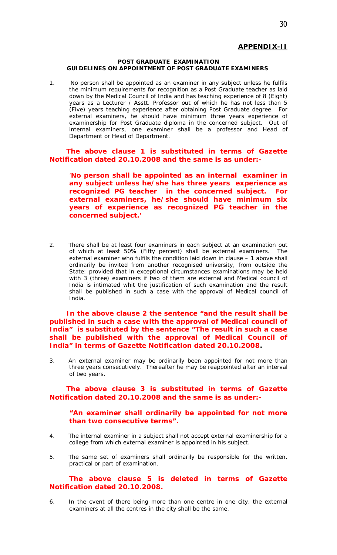## **APPENDIX-II**

#### **POST GRADUATE EXAMINATION GUIDELINES ON APPOINTMENT OF POST GRADUATE EXAMINERS**

1. No person shall be appointed as an examiner in any subject unless he fulfils the minimum requirements for recognition as a Post Graduate teacher as laid down by the Medical Council of India and has teaching experience of 8 (Eight) years as a Lecturer / Asstt. Professor out of which he has not less than 5 (Five) years teaching experience after obtaining Post Graduate degree. For external examiners, he should have minimum three years experience of examinership for Post Graduate diploma in the concerned subject. Out of internal examiners, one examiner shall be a professor and Head of Department or Head of Department.

## *The above clause 1 is substituted in terms of Gazette Notification dated 20.10.2008 and the same is as under:-*

*'No person shall be appointed as an internal examiner in any subject unless he/she has three years experience as recognized PG teacher in the concerned subject. For external examiners, he/she should have minimum six years of experience as recognized PG teacher in the concerned subject.'*

2. There shall be at least four examiners in each subject at an examination out of which at least 50% (Fifty percent) shall be external examiners. The external examiner who fulfils the condition laid down in clause – 1 above shall ordinarily be invited from another recognised university, from outside the State: provided that in exceptional circumstances examinations may be held with 3 (three) examiners if two of them are external and Medical council of India is intimated whit the justification of such examination and the result shall be published in such a case with the approval of Medical council of India.

*In the above clause 2 the sentence "and the result shall be published in such a case with the approval of Medical council of India" is substituted by the sentence "The result in such a case shall be published with the approval of Medical Council of India" in terms of Gazette Notification dated 20.10.2008.*

3. An external examiner may be ordinarily been appointed for not more than three years consecutively. Thereafter he may be reappointed after an interval of two years.

## *The above clause 3 is substituted in terms of Gazette Notification dated 20.10.2008 and the same is as under:-*

## *"An examiner shall ordinarily be appointed for not more than two consecutive terms".*

- 4. The internal examiner in a subject shall not accept external examinership for a college from which external examiner is appointed in his subject.
- 5. The same set of examiners shall ordinarily be responsible for the written, practical or part of examination.

# *The above clause 5 is deleted in terms of Gazette Notification dated 20.10.2008.*

6. In the event of there being more than one centre in one city, the external examiners at all the centres in the city shall be the same.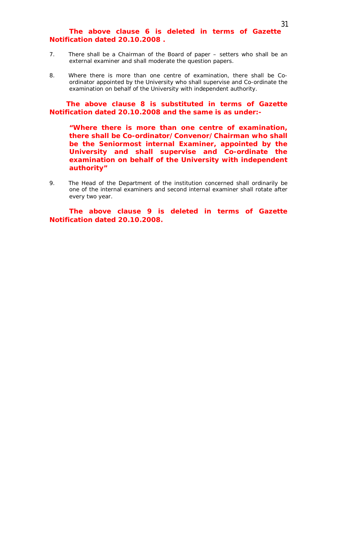# *The above clause 6 is deleted in terms of Gazette Notification dated 20.10.2008 .*

- 7. There shall be a Chairman of the Board of paper setters who shall be an external examiner and shall moderate the question papers.
- 8. Where there is more than one centre of examination, there shall be Coordinator appointed by the University who shall supervise and Co-ordinate the examination on behalf of the University with independent authority.

*The above clause 8 is substituted in terms of Gazette Notification dated 20.10.2008 and the same is as under:-*

*"Where there is more than one centre of examination, there shall be Co-ordinator/Convenor/Chairman who shall be the Seniormost internal Examiner, appointed by the University and shall supervise and Co-ordinate the examination on behalf of the University with independent authority"*

9. The Head of the Department of the institution concerned shall ordinarily be one of the internal examiners and second internal examiner shall rotate after every two year.

*The above clause 9 is deleted in terms of Gazette Notification dated 20.10.2008.*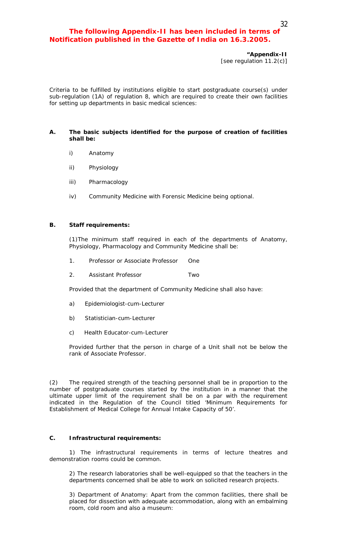# *The following Appendix-II has been included in terms of Notification published in the Gazette of India on 16.3.2005.*

Criteria to be fulfilled by institutions eligible to start postgraduate course(s) under sub-regulation (1A) of regulation 8, which are required to create their own facilities for setting up departments in basic medical sciences:

#### **A. The basic subjects identified for the purpose of creation of facilities shall be:**

- i) Anatomy
- ii) Physiology
- iii) Pharmacology
- iv) Community Medicine with Forensic Medicine being optional.

#### **B. Staff requirements:**

(1)The minimum staff required in each of the departments of Anatomy, Physiology, Pharmacology and Community Medicine shall be:

- 1. Professor or Associate Professor One
- 2. Assistant Professor Two

Provided that the department of Community Medicine shall also have:

- a) Epidemiologist-cum-Lecturer
- b) Statistician-cum-Lecturer
- c) Health Educator-cum-Lecturer

Provided further that the person in charge of a Unit shall not be below the rank of Associate Professor.

(2) The required strength of the teaching personnel shall be in proportion to the number of postgraduate courses started by the institution in a manner that the ultimate upper limit of the requirement shall be on a par with the requirement indicated in the Regulation of the Council titled 'Minimum Requirements for Establishment of Medical College for Annual Intake Capacity of 50'.

#### **C. Infrastructural requirements:**

1) The infrastructural requirements in terms of lecture theatres and demonstration rooms could be common.

2) The research laboratories shall be well-equipped so that the teachers in the departments concerned shall be able to work on solicited research projects.

3) Department of Anatomy: Apart from the common facilities, there shall be placed for dissection with adequate accommodation, along with an embalming room, cold room and also a museum: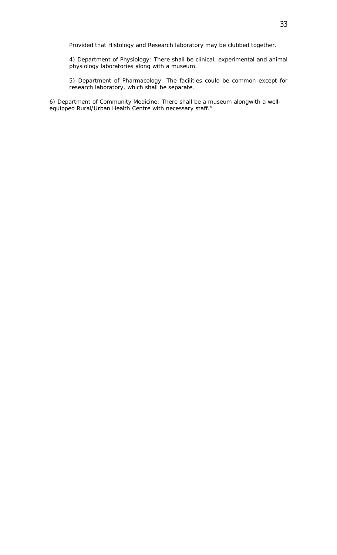Provided that Histology and Research laboratory may be clubbed together.

4) Department of Physiology: There shall be clinical, experimental and animal physiology laboratories along with a museum.

5) Department of Pharmacology: The facilities could be common except for research laboratory, which shall be separate.

6) Department of Community Medicine: There shall be a museum alongwith a wellequipped Rural/Urban Health Centre with necessary staff."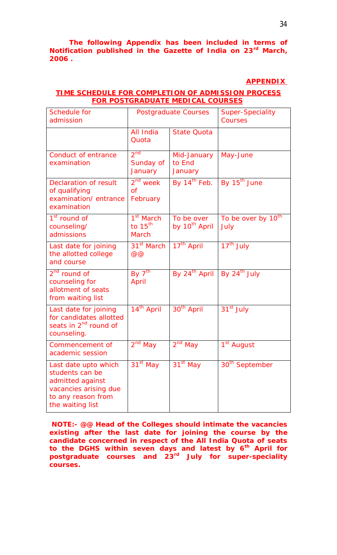*The following Appendix has been included in terms of Notification published in the Gazette of India on 23rd March, 2006 .*

# **APPENDIX**

# *TIME SCHEDULE FOR COMPLETION OF ADMISSION PROCESS FOR POSTGRADUATE MEDICAL COURSES*

| <b>Schedule for</b><br>admission                                                                                               | Postgraduate Courses                         |                                         | <b>Super-Speciality</b><br>Courses     |
|--------------------------------------------------------------------------------------------------------------------------------|----------------------------------------------|-----------------------------------------|----------------------------------------|
|                                                                                                                                | All India<br>Quota                           | <b>State Quota</b>                      |                                        |
| <b>Conduct of entrance</b><br>examination                                                                                      | $2^{nd}$<br>Sunday of<br>January             | Mid-January<br>to End<br>January        | May-June                               |
| <b>Declaration of result</b><br>of qualifying<br>examination/entrance<br>examination                                           | $2^{nd}$ week<br>$\overline{of}$<br>February | By $14^{th}$ Feb.                       | By 15 <sup>th</sup> June               |
| $1st$ round of<br>counseling/<br>admissions                                                                                    | $1st$ March<br>to $15^{th}$<br><b>March</b>  | To be over<br>by 10 <sup>th</sup> April | To be over by 10 <sup>th</sup><br>July |
| Last date for joining<br>the allotted college<br>and course                                                                    | $31st$ March<br>@@                           | $17th$ April                            | $17th$ July                            |
| $2nd$ round of<br>counseling for<br>allotment of seats<br>from waiting list                                                    | By $7^{t\overline{h}}$<br><b>April</b>       | By $24^{th}$ April   By $24^{th}$ July  |                                        |
| Last date for joining<br>for candidates allotted<br>seats in 2 <sup>nd</sup> round of<br>counseling.                           | $14^{th}$ April                              | $30th$ April                            | $31st$ July                            |
| Commencement of<br>academic session                                                                                            | $2^{nd}$ May                                 | $2^{nd}$ May                            | 1 <sup>st</sup> August                 |
| Last date upto which<br>students can be<br>admitted against<br>vacancies arising due<br>to any reason from<br>the waiting list | $31st$ May                                   | $31st$ May                              | 30 <sup>th</sup> September             |

*NOTE:- @@ Head of the Colleges should intimate the vacancies existing after the last date for joining the course by the candidate concerned in respect of the All India Quota of seats to the DGHS within seven days and latest by 6th April for postgraduate courses and 23rd July for super-speciality courses.*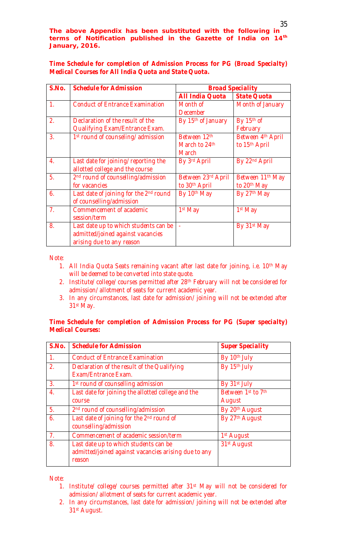*The above Appendix has been substituted with the following in terms of Notification published in the Gazette of India on 14th January, 2016.*

*Time Schedule for completion of Admission Process for PG (Broad Specialty) Medical Courses for All India Quota and State Quota.* 

| S.No.            | <b>Schedule for Admission</b>                  | <b>Broad Speciality</b> |                              |
|------------------|------------------------------------------------|-------------------------|------------------------------|
|                  |                                                | <b>All India Quota</b>  | <b>State Quota</b>           |
| $\mathbf{1}$     | <b>Conduct of Entrance Examination</b>         | Month of                | Month of January             |
|                  |                                                | <b>December</b>         |                              |
| 2.               | Declaration of the result of the               | By 15th of January      | By 15th of                   |
|                  | <b>Qualifying Exam/Entrance Exam.</b>          |                         | February                     |
| 3.               | 1st round of counseling/ admission             | Between 12th            | Between 4th April            |
|                  |                                                | March to 24th           | to 15th April                |
|                  |                                                | <b>March</b>            |                              |
| $\overline{4}$ . | Last date for joining/ reporting the           | By 3rd April            | By 22nd April                |
|                  | allotted college and the course                |                         |                              |
| 5.               | 2 <sup>nd</sup> round of counselling/admission | Between 23rd April      | Between 11 <sup>th</sup> May |
|                  | for vacancies                                  | to 30th April           | to 20 <sup>th</sup> May      |
| 6.               | Last date of joining for the 2nd round         | By 10th May             | By 27th May                  |
|                  | of counselling/admission                       |                         |                              |
| $\overline{Z}$   | Commencement of academic                       | $1st$ May               | $1st$ May                    |
|                  | session/term                                   |                         |                              |
| 8.               | Last date up to which students can be          | u,                      | By 31st May                  |
|                  | admitted/joined against vacancies              |                         |                              |
|                  | arising due to any reason                      |                         |                              |

*Note:*

- *1. All India Quota Seats remaining vacant after last date for joining, i.e. 10th May will be deemed to be converted into state quote.*
- *2. Institute/ college/ courses permitted after 28th February will not be considered for admission/ allotment of seats for current academic year.*
- *3. In any circumstances, last date for admission/ joining will not be extended after 31st May.*

# *Time Schedule for completion of Admission Process for PG (Super specialty) Medical Courses:*

| S.No.            | <b>Schedule for Admission</b>                                                                           | <b>Super Speciality</b>  |
|------------------|---------------------------------------------------------------------------------------------------------|--------------------------|
| $\mathcal{I}$ .  | <b>Conduct of Entrance Examination</b>                                                                  | By 10th July             |
| 2.               | Declaration of the result of the Qualifying<br>Exam/Entrance Exam.                                      | By 15th July             |
| $\overline{3}$ . | 1 <sup>st</sup> round of counselling admission                                                          | By 31 <sup>st</sup> July |
| $\overline{4}$ . | Last date for joining the allotted college and the                                                      | Between 1st to 7th       |
|                  | course                                                                                                  | August                   |
| 5.               | 2 <sup>nd</sup> round of counselling/admission                                                          | By 20th August           |
| 6.               | Last date of joining for the 2nd round of<br>counselling/admission                                      | By 27th August           |
| 7 <sub>1</sub>   | Commencement of academic session/term                                                                   | 1 <sup>st</sup> August   |
| 8.               | Last date up to which students can be<br>admitted/joined against vacancies arising due to any<br>reason | 31st August              |

*Note:*

- *1. Institute/ college/ courses permitted after 31st May will not be considered for admission/ allotment of seats for current academic year.*
- *2. In any circumstances, last date for admission/ joining will not be extended after 31st August.*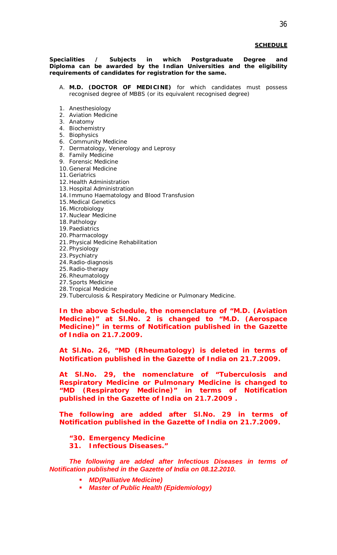#### *SCHEDULE*

**Specialities / Subjects in which Postgraduate Degree and Diploma can be awarded by the Indian Universities and the eligibility requirements of candidates for registration for the same.**

- A. **M.D. (DOCTOR OF MEDICINE)** for which candidates must possess recognised degree of MBBS (or its equivalent recognised degree)
- 1. Anesthesiology
- 2. Aviation Medicine
- 3. Anatomy
- 4. Biochemistry
- 5. Biophysics
- 6. Community Medicine
- 7. Dermatology, Venerology and Leprosy
- 8. Family Medicine
- 9. Forensic Medicine
- 10.General Medicine
- 11.Geriatrics
- 12.Health Administration
- 13.Hospital Administration
- 14. Immuno Haematology and Blood Transfusion
- 15.Medical Genetics
- 16.Microbiology
- 17.Nuclear Medicine
- 18.Pathology
- 19.Paediatrics
- 20.Pharmacology
- 21.Physical Medicine Rehabilitation
- 22.Physiology
- 23.Psychiatry
- 24.Radio-diagnosis
- 25.Radio-therapy
- 26.Rheumatology
- 27.Sports Medicine 28.Tropical Medicine
- 29.Tuberculosis & Respiratory Medicine or Pulmonary Medicine.

*In the above Schedule, the nomenclature of "M.D. (Aviation Medicine)" at Sl.No. 2 is changed to "M.D. (Aerospace Medicine)" in terms of Notification published in the Gazette of India on 21.7.2009.*

*At Sl.No. 26, "MD (Rheumatology) is deleted in terms of Notification published in the Gazette of India on 21.7.2009.*

*At Sl.No. 29, the nomenclature of "Tuberculosis and Respiratory Medicine or Pulmonary Medicine is changed to "MD (Respiratory Medicine)" in terms of Notification published in the Gazette of India on 21.7.2009 .*

*The following are added after Sl.No. 29 in terms of Notification published in the Gazette of India on 21.7.2009.*

- *"30. Emergency Medicine*
- *31. Infectious Diseases."*

*The following are added after Infectious Diseases in terms of Notification published in the Gazette of India on 08.12.2010.*

- *MD(Palliative Medicine)*
- *Master of Public Health (Epidemiology)*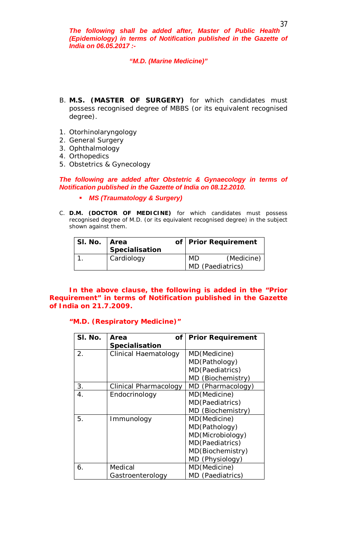*The following shall be added after, Master of Public Health (Epidemiology) in terms of Notification published in the Gazette of India on 06.05.2017 :-*

## *"M.D. (Marine Medicine)"*

- B. **M.S. (MASTER OF SURGERY)** for which candidates must possess recognised degree of MBBS (or its equivalent recognised degree).
- 1. Otorhinolaryngology
- 2. General Surgery
- 3. Ophthalmology
- 4. Orthopedics
- 5. Obstetrics & Gynecology

*The following are added after Obstetric & Gynaecology in terms of Notification published in the Gazette of India on 08.12.2010.*

- *MS (Traumatology & Surgery)*
- C. **D.M. (DOCTOR OF MEDICINE)** for which candidates must possess recognised degree of M.D. (or its equivalent recognised degree) in the subject shown against them.

| SI. No.   Area |                | of   Prior Requirement |            |
|----------------|----------------|------------------------|------------|
|                | Specialisation |                        |            |
|                | Cardiology     | MD                     | (Medicine) |
|                |                | MD (Paediatrics)       |            |

*In the above clause, the following is added in the "Prior Requirement" in terms of Notification published in the Gazette of India on 21.7.2009.*

# *"M.D. (Respiratory Medicine)"*

| SI. No. | Οf<br>Area            | <b>Prior Requirement</b> |
|---------|-----------------------|--------------------------|
|         | <b>Specialisation</b> |                          |
| 2.      | Clinical Haematology  | MD(Medicine)             |
|         |                       | MD(Pathology)            |
|         |                       | MD(Paediatrics)          |
|         |                       | MD (Biochemistry)        |
| 3.      | Clinical Pharmacology | MD (Pharmacology)        |
| 4.      | Endocrinology         | MD(Medicine)             |
|         |                       | MD(Paediatrics)          |
|         |                       | MD (Biochemistry)        |
| 5.      | Immunology            | MD(Medicine)             |
|         |                       | MD(Pathology)            |
|         |                       | MD(Microbiology)         |
|         |                       | MD(Paediatrics)          |
|         |                       | MD(Biochemistry)         |
|         |                       | MD (Physiology)          |
| 6.      | Medical               | MD(Medicine)             |
|         | Gastroenterology      | MD (Paediatrics)         |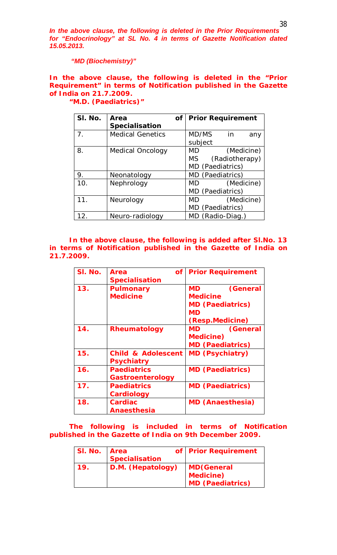*In the above clause, the following is deleted in the Prior Requirements for "Endocrinology" at SL No. 4 in terms of Gazette Notification dated 15.05.2013.*

*"MD (Biochemistry)"*

*In the above clause, the following is deleted in the "Prior Requirement" in terms of Notification published in the Gazette of India on 21.7.2009.*

| SI. No.        | Area<br>Specialisation  | <b>of</b> |           | <b>Prior Requirement</b> |
|----------------|-------------------------|-----------|-----------|--------------------------|
| 7 <sub>1</sub> | <b>Medical Genetics</b> |           | MD/MS     | in in<br>any             |
|                |                         |           | subject   |                          |
| 8.             | Medical Oncology        |           | MD -      | (Medicine)               |
|                |                         |           | MS -      | (Radiotherapy)           |
|                |                         |           |           | MD (Paediatrics)         |
| 9.             | Neonatology             |           |           | MD (Paediatrics)         |
| 10.            | Nephrology              |           | <b>MD</b> | (Medicine)               |
|                |                         |           |           | MD (Paediatrics)         |
| 11.            | Neurology               |           | MD        | (Medicine)               |
|                |                         |           |           | MD (Paediatrics)         |
| 12.            | Neuro-radiology         |           |           | MD (Radio-Diag.)         |

*"M.D. (Paediatrics)"*

*In the above clause, the following is added after Sl.No. 13 in terms of Notification published in the Gazette of India on 21.7.2009.*

| SI. No. | Οf<br>Area<br><b>Specialisation</b>         | <b>Prior Requirement</b>                                                    |
|---------|---------------------------------------------|-----------------------------------------------------------------------------|
| 13.     | <b>Pulmonary</b><br><b>Medicine</b>         | (General<br>MD .<br><b>Medicine</b><br><b>MD (Paediatrics)</b><br><b>MD</b> |
|         |                                             | (Resp.Medicine)                                                             |
| 14.     | <b>Rheumatology</b>                         | (General<br>MD.<br><b>Medicine</b> )<br><b>MD (Paediatrics)</b>             |
| 15.     | <b>Child &amp; Adolescent</b><br>Psychiatry | <b>MD (Psychiatry)</b>                                                      |
| 16.     | <b>Paediatrics</b><br>Gastroenterology      | <b>MD (Paediatrics)</b>                                                     |
| 17.     | <b>Paediatrics</b><br>Cardiology            | <b>MD (Paediatrics)</b>                                                     |
| 18.     | Cardiac<br><b>Anaesthesia</b>               | <b>MD (Anaesthesia)</b>                                                     |

*The following is included in terms of Notification published in the Gazette of India on 9th December 2009.*

| SI. No. | <b>Area</b><br><b>Specialisation</b> | of Prior Requirement                                              |
|---------|--------------------------------------|-------------------------------------------------------------------|
| 19.     | D.M. (Hepatology)                    | <b>MD</b> (General<br><b>Medicine)</b><br><b>MD (Paediatrics)</b> |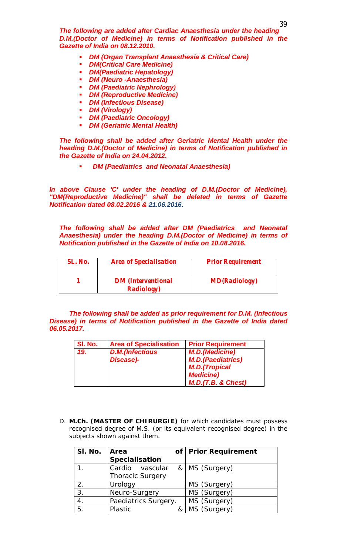*The following are added after Cardiac Anaesthesia under the heading D.M.(Doctor of Medicine) in terms of Notification published in the Gazette of India on 08.12.2010.*

- *DM (Organ Transplant Anaesthesia & Critical Care)*
- *DM(Critical Care Medicine)*
- *DM(Paediatric Hepatology)*
- *DM (Neuro -Anaesthesia)*
- *DM (Paediatric Nephrology)*
- *DM (Reproductive Medicine)*
- *DM (Infectious Disease)*
- *DM (Virology)*
- *DM (Paediatric Oncology)*
- *DM (Geriatric Mental Health)*

*The following shall be added after Geriatric Mental Health under the heading D.M.(Doctor of Medicine) in terms of Notification published in the Gazette of India on 24.04.2012.*

*DM (Paediatrics and Neonatal Anaesthesia)*

*In above Clause 'C' under the heading of D.M.(Doctor of Medicine), "DM(Reproductive Medicine)" shall be deleted in terms of Gazette Notification dated 08.02.2016 & 21.06.2016.*

*The following shall be added after DM (Paediatrics and Neonatal Anaesthesia) under the heading D.M.(Doctor of Medicine) in terms of Notification published in the Gazette of India on 10.08.2016.*

| SL. No. | <b>Area of Specialisation</b>                   | <b>Prior Requirement</b> |
|---------|-------------------------------------------------|--------------------------|
|         | <b>DM</b> (Interventional<br><b>Radiology</b> ) | <b>MD(Radiology)</b>     |

*The following shall be added as prior requirement for D.M. (Infectious Disease) in terms of Notification published in the Gazette of India dated 06.05.2017.*

| SI. No. | <b>Area of Specialisation</b> | <b>Prior Requirement</b> |
|---------|-------------------------------|--------------------------|
| 19.     | <b>D.M.(Infectious</b>        | <b>M.D.</b> (Medicine)   |
|         | Disease)-                     | <b>M.D.(Paediatrics)</b> |
|         |                               | <b>M.D.</b> (Tropical    |
|         |                               | <b>Medicine)</b>         |
|         |                               | $M.D.$ (T.B. & Chest)    |

D. **M.Ch. (MASTER OF CHIRURGIE)** for which candidates must possess recognised degree of M.S. (or its equivalent recognised degree) in the subjects shown against them.

| SI. No. | Area                    | of   Prior Requirement |
|---------|-------------------------|------------------------|
|         | Specialisation          |                        |
|         | Cardio vascular         | &   MS (Surgery)       |
|         | <b>Thoracic Surgery</b> |                        |
| 2.      | Urology                 | MS (Surgery)           |
| 3.      | Neuro-Surgery           | MS (Surgery)           |
| 4.      | Paediatrics Surgery.    | MS (Surgery)           |
| 5.      | Plastic                 | MS (Surgery)           |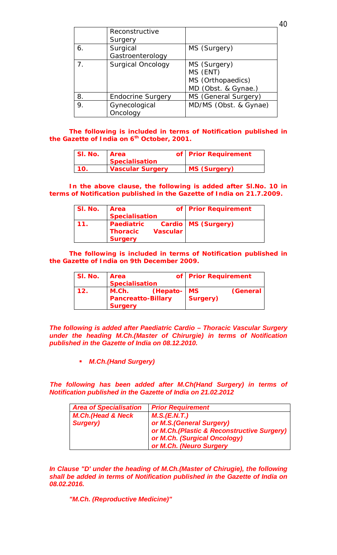|                | Reconstructive           |                       |
|----------------|--------------------------|-----------------------|
|                | Surgery                  |                       |
| 6.             | Surgical                 | MS (Surgery)          |
|                | Gastroenterology         |                       |
| 7 <sub>1</sub> | <b>Surgical Oncology</b> | MS (Surgery)          |
|                |                          | MS (ENT)              |
|                |                          | MS (Orthopaedics)     |
|                |                          | MD (Obst. & Gynae.)   |
| 8.             | <b>Endocrine Surgery</b> | MS (General Surgery)  |
| 9.             | Gynecological            | MD/MS (Obst. & Gynae) |
|                | Oncology                 |                       |

*The following is included in terms of Notification published in the Gazette of India on 6th October, 2001.*

| SI. No. | <b>Area</b>             | of Prior Requirement |
|---------|-------------------------|----------------------|
|         | <b>Specialisation</b>   |                      |
| 10.     | <b>Vascular Surgery</b> | <b>MS (Surgery)</b>  |

*In the above clause, the following is added after Sl.No. 10 in terms of Notification published in the Gazette of India on 21.7.2009.*

| SI. No. | <b>Area</b>                              |                 | of Prior Requirement |
|---------|------------------------------------------|-----------------|----------------------|
|         | <b>Specialisation</b>                    |                 |                      |
| 11.     | Paediatric<br>Thoracic<br><b>Surgery</b> | <b>Vascular</b> | Cardio MS (Surgery)  |

*The following is included in terms of Notification published in the Gazette of India on 9th December 2009.*

| SI. No.         | Area                                                 |             | of Prior Requirement |          |
|-----------------|------------------------------------------------------|-------------|----------------------|----------|
|                 | <b>Specialisation</b>                                |             |                      |          |
| 12 <sub>1</sub> | M.Ch.<br><b>Pancreatto-Billary</b><br><b>Surgery</b> | (Hepato- MS | Surgery)             | (General |

*The following is added after Paediatric Cardio – Thoracic Vascular Surgery under the heading M.Ch.(Master of Chirurgie) in terms of Notification published in the Gazette of India on 08.12.2010.*

*M.Ch.(Hand Surgery)* 

*The following has been added after M.Ch(Hand Surgery) in terms of Notification published in the Gazette of India on 21.02.2012*

| <b>Area of Specialisation</b> | <b>Prior Requirement</b>                   |
|-------------------------------|--------------------------------------------|
| <b>M.Ch.(Head &amp; Neck</b>  | M.S.(E.N.T.)                               |
| <b>Surgery)</b>               | or M.S. (General Surgery)                  |
|                               | or M.Ch.(Plastic & Reconstructive Surgery) |
|                               | or M.Ch. (Surgical Oncology)               |
|                               | or M.Ch. (Neuro Surgery                    |

*In Clause "D' under the heading of M.Ch.(Master of Chirugie), the following shall be added in terms of Notification published in the Gazette of India on 08.02.2016.*

*"M.Ch. (Reproductive Medicine)"*

40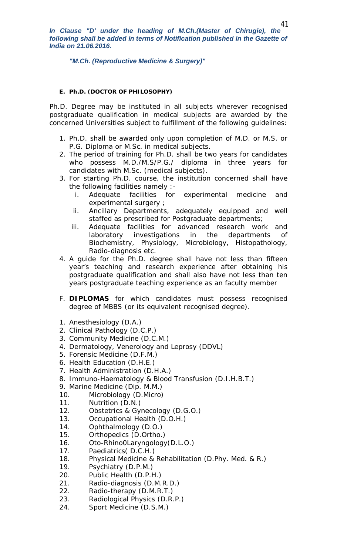*In Clause "D' under the heading of M.Ch.(Master of Chirugie), the*  following shall be added in terms of Notification published in the Gazette of *India on 21.06.2016.*

*"M.Ch. (Reproductive Medicine & Surgery)"*

## **E. Ph.D. (DOCTOR OF PHILOSOPHY)**

Ph.D. Degree may be instituted in all subjects wherever recognised postgraduate qualification in medical subjects are awarded by the concerned Universities subject to fulfillment of the following guidelines:

- 1. Ph.D. shall be awarded only upon completion of M.D. or M.S. or P.G. Diploma or M.Sc. in medical subjects.
- 2. The period of training for Ph.D. shall be two years for candidates who possess M.D./M.S/P.G./ diploma in three years for candidates with M.Sc. (medical subjects).
- 3. For starting Ph.D. course, the institution concerned shall have the following facilities namely :
	- i. Adequate facilities for experimental medicine and experimental surgery ;
	- ii. Ancillary Departments, adequately equipped and well staffed as prescribed for Postgraduate departments;
	- iii. Adequate facilities for advanced research work and laboratory investigations in the departments of Biochemistry, Physiology, Microbiology, Histopathology, Radio-diagnosis etc.
- 4. A guide for the Ph.D. degree shall have not less than fifteen year's teaching and research experience after obtaining his postgraduate qualification and shall also have not less than ten years postgraduate teaching experience as an faculty member
- F. **DIPLOMAS** for which candidates must possess recognised degree of MBBS (or its equivalent recognised degree).
- 1. Anesthesiology (D.A.)
- 2. Clinical Pathology (D.C.P.)
- 3. Community Medicine (D.C.M.)
- 4. Dermatology, Venerology and Leprosy (DDVL)
- 5. Forensic Medicine (D.F.M.)
- 6. Health Education (D.H.E.)
- 7. Health Administration (D.H.A.)
- 8. Immuno-Haematology & Blood Transfusion (D.I.H.B.T.)
- 9. Marine Medicine (Dip. M.M.)
- 10. Microbiology (D.Micro)
- 11. Nutrition (D.N.)
- 12. Obstetrics & Gynecology (D.G.O.)
- 13. Occupational Health (D.O.H.)
- 14. Ophthalmology (D.O.)
- 15. Orthopedics (D.Ortho.)
- 16. Oto-Rhino0Laryngology(D.L.O.)
- 17. Paediatrics( D.C.H.)
- 18. Physical Medicine & Rehabilitation (D.Phy. Med. & R.)
- 19. Psychiatry (D.P.M.)
- 20. Public Health (D.P.H.)
- 21. Radio-diagnosis (D.M.R.D.)
- 22. Radio-therapy (D.M.R.T.)
- 23. Radiological Physics (D.R.P.)
- 24. Sport Medicine (D.S.M.)